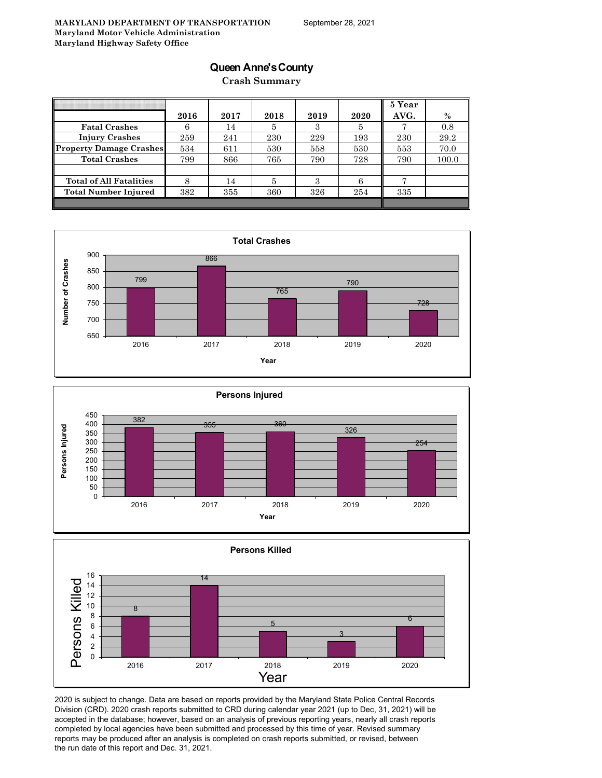### **Queen Anne's County**

**Crash Summary**

|                                |      |      |      |      |      | 5 Year |       |
|--------------------------------|------|------|------|------|------|--------|-------|
|                                | 2016 | 2017 | 2018 | 2019 | 2020 | AVG.   | $\%$  |
| <b>Fatal Crashes</b>           | 6    | 14   | 5    | З    | Ð    |        | 0.8   |
| <b>Injury Crashes</b>          | 259  | 241  | 230  | 229  | 193  | 230    | 29.2  |
| <b>Property Damage Crashes</b> | 534  | 611  | 530  | 558  | 530  | 553    | 70.0  |
| <b>Total Crashes</b>           | 799  | 866  | 765  | 790  | 728  | 790    | 100.0 |
|                                |      |      |      |      |      |        |       |
| <b>Total of All Fatalities</b> | 8    | 14   | 5    | З    |      |        |       |
| Total Number Injured           | 382  | 355  | 360  | 326  | 254  | 335    |       |
|                                |      |      |      |      |      |        |       |







2020 is subject to change. Data are based on reports provided by the Maryland State Police Central Records Division (CRD). 2020 crash reports submitted to CRD during calendar year 2021 (up to Dec, 31, 2021) will be accepted in the database; however, based on an analysis of previous reporting years, nearly all crash reports completed by local agencies have been submitted and processed by this time of year. Revised summary reports may be produced after an analysis is completed on crash reports submitted, or revised, between the run date of this report and Dec. 31, 2021.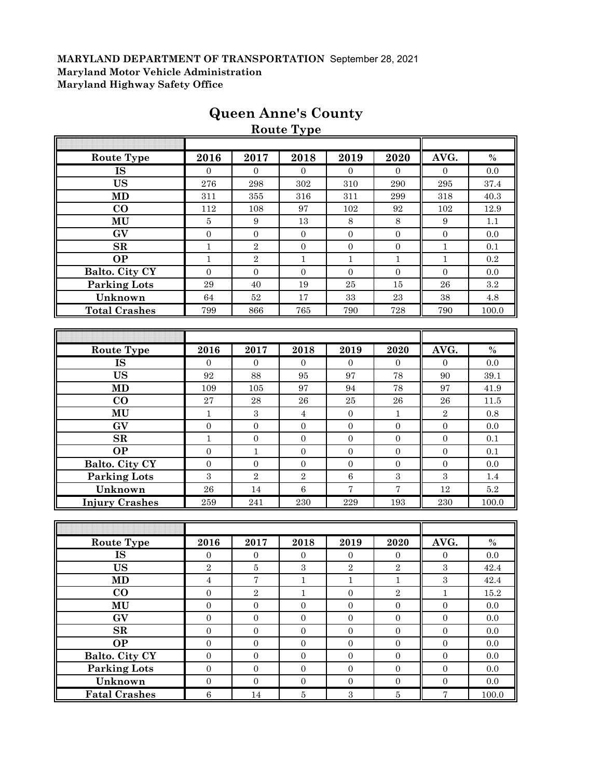|                        |                  |                  | <b>Route Type</b> |                  |                          |                  |           |
|------------------------|------------------|------------------|-------------------|------------------|--------------------------|------------------|-----------|
|                        |                  |                  |                   |                  |                          |                  |           |
| Route Type             | 2016             | 2017             | 2018              | 2019             | 2020                     | AVG.             | $\%$      |
| <b>IS</b>              | $\overline{0}$   | $\Omega$         | $\Omega$          | $\overline{0}$   | $\Omega$                 | $\overline{0}$   | 0.0       |
| <b>US</b>              | 276              | 298              | 302               | 310              | 290                      | 295              | 37.4      |
| MD                     | 311              | 355              | 316               | 311              | 299                      | 318              | 40.3      |
| CO                     | 112              | 108              | 97                | 102              | 92                       | $102\,$          | 12.9      |
| MU                     | $\bf 5$          | $\boldsymbol{9}$ | 13                | $\,8\,$          | 8                        | 9                | 1.1       |
| GV                     | $\boldsymbol{0}$ | $\boldsymbol{0}$ | $\boldsymbol{0}$  | $\mathbf{0}$     | $\boldsymbol{0}$         | $\boldsymbol{0}$ | 0.0       |
| ${\bf SR}$             | $\mathbf{1}$     | $\overline{2}$   | $\overline{0}$    | $\overline{0}$   | $\overline{0}$           | $\mathbf{1}$     | 0.1       |
| $\overline{OP}$        | $\mathbf{1}$     | $\sqrt{2}$       | $\mathbf{1}$      | $\mathbf{1}$     | $\mathbf{1}$             | $\mathbf{1}$     | 0.2       |
| <b>Balto. City CY</b>  | $\overline{0}$   | $\mathbf{0}$     | $\boldsymbol{0}$  | $\boldsymbol{0}$ | $\boldsymbol{0}$         | $\overline{0}$   | 0.0       |
| <b>Parking Lots</b>    | 29               | 40               | 19                | 25               | $15\,$                   | ${\bf 26}$       | $\rm 3.2$ |
| Unknown                | 64               | $52\,$           | 17                | $33\,$           | $\bf 23$                 | 38               | $4.8\,$   |
| <b>Total Crashes</b>   | 799              | 866              | 765               | 790              | 728                      | 790              | 100.0     |
|                        |                  |                  |                   |                  |                          |                  |           |
|                        |                  |                  |                   |                  |                          |                  |           |
| <b>Route Type</b>      | 2016             | 2017             | 2018              | 2019             | 2020                     | AVG.             | $\%$      |
| $\overline{\text{IS}}$ | $\overline{0}$   | $\Omega$         | $\overline{0}$    | $\overline{0}$   | $\overline{0}$           | $\overline{0}$   | 0.0       |
| <b>US</b>              | 92               | 88               | 95                | 97               | 78                       | 90               | 39.1      |
| $\overline{\bf MD}$    | 109              | 105              | 97                | 94               | 78                       | 97               | 41.9      |
| $\bf{CO}$              | $\sqrt{27}$      | $\bf 28$         | 26                | 25               | ${\bf 26}$               | 26               | 11.5      |
| MU                     | $\mathbf{1}$     | $\sqrt{3}$       | $\overline{4}$    | $\boldsymbol{0}$ | $\mathbf{1}$             | $\,2$            | $0.8\,$   |
| GV                     | $\overline{0}$   | $\overline{0}$   | $\overline{0}$    | $\overline{0}$   | $\overline{0}$           | $\overline{0}$   | 0.0       |
| SR                     | $\mathbf{1}$     | $\overline{0}$   | $\overline{0}$    | $\boldsymbol{0}$ | $\Omega$                 | $\overline{0}$   | 0.1       |
| <b>OP</b>              | $\boldsymbol{0}$ | $\,1\,$          | $\boldsymbol{0}$  | $\boldsymbol{0}$ | $\boldsymbol{0}$         | $\mathbf{0}$     | 0.1       |
| Balto. City CY         | $\boldsymbol{0}$ | $\boldsymbol{0}$ | $\boldsymbol{0}$  | $\mathbf{0}$     | $\boldsymbol{0}$         | $\boldsymbol{0}$ | 0.0       |
| <b>Parking Lots</b>    | 3                | $\sqrt{2}$       | $\sqrt{2}$        | 6                | $\boldsymbol{3}$         | $\overline{3}$   | 1.4       |
| Unknown                | 26               | 14               | 6                 | $\sqrt{ }$       | $\overline{\mathcal{I}}$ | 12               | 5.2       |
| <b>Injury Crashes</b>  | 259              | 241              | $\,230$           | 229              | 193                      | 230              | 100.0     |
|                        |                  |                  |                   |                  |                          |                  |           |
|                        |                  |                  |                   |                  |                          |                  |           |
| <b>Route Type</b>      | 2016             | 2017             | 2018              | 2019             | 2020                     | AVG.             | $\%$      |
| <b>IS</b>              | $\mathbf{0}$     | $\overline{0}$   | $\overline{0}$    | $\overline{0}$   | $\boldsymbol{0}$         | $\boldsymbol{0}$ | 0.0       |
| <b>US</b>              | $\overline{2}$   | $\bf 5$          | $\overline{3}$    | $\overline{2}$   | $\overline{2}$           | $\overline{3}$   | 42.4      |
| MD                     | $\overline{4}$   | $\sqrt{ }$       | $\mathbf{1}$      | $\mathbf{1}$     | $\mathbf{1}$             | $\,3$            | 42.4      |
| $\bf CO$               | $\overline{0}$   | $\,2$            | $\mathbf{1}$      | $\overline{0}$   | $\,2$                    | $\mathbf{1}$     | $15.2\,$  |
| MU                     | $\boldsymbol{0}$ | $\mathbf 0$      | $\overline{0}$    | $\boldsymbol{0}$ | $\boldsymbol{0}$         | $\overline{0}$   | 0.0       |
| $\overline{GV}$        | $\boldsymbol{0}$ | $\mathbf{0}$     | $\overline{0}$    | $\boldsymbol{0}$ | $\boldsymbol{0}$         | $\overline{0}$   | 0.0       |
| SR                     | $\boldsymbol{0}$ | $\mathbf{0}$     | $\boldsymbol{0}$  | $\boldsymbol{0}$ | $\boldsymbol{0}$         | $\boldsymbol{0}$ | 0.0       |

**OP** 0 0 0 0 0 0 0.0 **Balto. City CY** 0 0 0 0 0 0 0.0 **Parking Lots** 0 0 0 0 0 0 0.0 **Unknown** 0 0 0 0 0 0 0.0 **Fatal Crashes** 6 6 14 5 3 5 7 100.0

# **Queen Anne's County**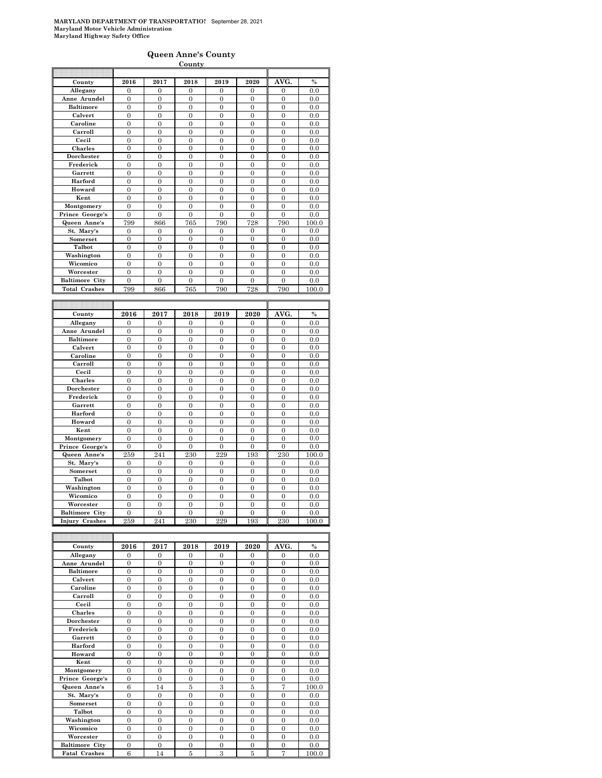#### **Queen Anne's County**

|                                         |                       |                       | <b>County</b>         |                       |                       |                       |              |
|-----------------------------------------|-----------------------|-----------------------|-----------------------|-----------------------|-----------------------|-----------------------|--------------|
|                                         |                       |                       |                       |                       |                       |                       |              |
| County                                  | 2016                  | 2017                  | 2018                  | 2019                  | 2020                  | AVG.                  | $\%$         |
| Allegany                                | $\overline{0}$        | 0                     | 0                     | $\mathbf{0}$          | 0                     | $\mathbf{0}$          | 0.0          |
| Anne Arundel                            | 0                     | $\overline{0}$        | $\overline{0}$        | $\mathbf{0}$          | 0                     | $\overline{0}$        | 0.0          |
| <b>Baltimore</b>                        | $\overline{0}$        | $\overline{0}$        | $\overline{0}$        | $\overline{0}$        | $\overline{0}$        | $\overline{0}$        | 0.0          |
| Calvert                                 | $\boldsymbol{0}$      | $\boldsymbol{0}$      | $\mathbf{0}$          | $\boldsymbol{0}$      | $\mathbf{0}$          | $\boldsymbol{0}$      | 0.0          |
| Caroline                                | $\overline{0}$        | $\overline{0}$        | $\overline{0}$        | $\overline{0}$        | $\overline{0}$        | $\overline{0}$        | 0.0          |
| Carroll                                 | $\overline{0}$        | $\overline{0}$        | $\overline{0}$        | $\overline{0}$        | $\overline{0}$        | $\overline{0}$        | 0.0          |
| Cecil                                   | $\overline{0}$        | $\overline{0}$        | $\overline{0}$        | $\overline{0}$        | $\overline{0}$        | $\overline{0}$        | 0.0          |
| <b>Charles</b>                          | $\boldsymbol{0}$      | $\boldsymbol{0}$      | $\mathbf{0}$          | $\boldsymbol{0}$      | $\mathbf{0}$          | $\boldsymbol{0}$      | 0.0          |
| Dorchester                              | $\overline{0}$        | $\mathbf{0}$          | $\mathbf{0}$          | $\overline{0}$        | 0                     | $\boldsymbol{0}$      | 0.0          |
| Frederick                               | $\overline{0}$        | $\overline{0}$        | $\overline{0}$        | $\overline{0}$        | $\overline{0}$        | $\overline{0}$        | 0.0          |
| Garrett                                 | $\overline{0}$        | $\overline{0}$        | $\overline{0}$        | $\overline{0}$        | $\overline{0}$        | $\boldsymbol{0}$      | 0.0          |
| Harford                                 | $\overline{0}$        | $\overline{0}$        | $\overline{0}$        | $\overline{0}$        | $\overline{0}$        | $\overline{0}$        | 0.0          |
| Howard                                  | 0                     | $\overline{0}$        | $\overline{0}$        | $\overline{0}$        | $\overline{0}$        | $\overline{0}$        | 0.0          |
| Kent                                    | $\overline{0}$        | $\overline{0}$        | $\overline{0}$        | $\overline{0}$        | $\overline{0}$        | $\overline{0}$        | 0.0          |
| Montgomery                              | $\overline{0}$        | $\overline{0}$        | $\overline{0}$        | $\overline{0}$        | 0                     | $\overline{0}$        | 0.0          |
| Prince George's                         | $\overline{0}$        | $\overline{0}$        | $\overline{0}$        | $\overline{0}$        | $\overline{0}$        | $\overline{0}$        | 0.0          |
| Queen Anne's                            | 799                   | 866                   | 765                   | 790                   | 728                   | 790                   | 100.0        |
| $\overline{\text{St}}$ . Mary's         | $\overline{0}$        | $\overline{0}$        | $\overline{0}$        | $\mathbf{0}$          | 0                     | $\overline{0}$        | 0.0          |
| Somerset                                | $\overline{0}$        | $\overline{0}$        | $\overline{0}$        | $\overline{0}$        | $\overline{0}$        | $\mathbf{0}$          | 0.0          |
| Talbot                                  | $\overline{0}$        | $\theta$              | $\theta$              | $\overline{0}$        | $\overline{0}$        | $\overline{0}$        | 0.0          |
| Washington                              | $\boldsymbol{0}$      | $\boldsymbol{0}$      | $\mathbf{0}$          | $\boldsymbol{0}$      | $\mathbf{0}$          | $\boldsymbol{0}$      | 0.0          |
| Wicomico                                | $\overline{0}$        | $\overline{0}$        | $\mathbf{0}$          | $\overline{0}$        | $\mathbf{0}$          | $\mathbf{0}$          | 0.0          |
| Worcester                               | $\theta$              | $\theta$              | $\theta$              | $\theta$              | $\theta$              | $\theta$              | 0.0          |
| <b>Baltimore City</b>                   | $\mathbf{0}$          | $\overline{0}$        | $\Omega$              | $\overline{0}$        | $\overline{0}$        | $\mathbf{0}$          | 0.0          |
| <b>Total Crashes</b>                    | 799                   | 866                   | 765                   | 790                   | 728                   | 790                   | 100.0        |
|                                         |                       |                       |                       |                       |                       |                       |              |
|                                         |                       |                       |                       |                       |                       |                       |              |
|                                         |                       |                       |                       |                       |                       |                       |              |
| County                                  | 2016                  | 2017                  | 2018                  | 2019                  | 2020                  | AVG.                  | $\%$         |
| Allegany                                | 0                     | $\Omega$              | $\Omega$              | $\Omega$              | $\theta$              | $\Omega$              | 0.0          |
| Anne Arundel                            | $\boldsymbol{0}$      | $\overline{0}$        | $\overline{0}$        | $\boldsymbol{0}$      | $\overline{0}$        | $\boldsymbol{0}$      | 0.0          |
| <b>Baltimore</b>                        | $\overline{0}$        | $\overline{0}$        | $\overline{0}$        | $\overline{0}$        | 0                     | $\overline{0}$        | 0.0          |
| Calvert                                 | $\mathbf{0}$          | $\mathbf{0}$          | $\overline{0}$        | $\boldsymbol{0}$      | $\mathbf{0}$          | $\mathbf{0}$          | 0.0          |
| Caroline                                | $\overline{0}$        | $\theta$              | $\theta$              | $\theta$              | $\theta$              | $\theta$              | 0.0          |
| Carroll                                 | $\overline{0}$        | $\overline{0}$        | $\overline{0}$        | $\overline{0}$        | $\overline{0}$        | $\overline{0}$        | 0.0          |
| Cecil                                   | $\overline{0}$        | $\overline{0}$        | $\overline{0}$        | $\overline{0}$        | $\overline{0}$        | $\overline{0}$        | 0.0          |
| Charles                                 | $\mathbf{0}$          | $\mathbf{0}$          | 0                     | $\bf{0}$              | 0                     | $\boldsymbol{0}$      | 0.0          |
| Dorchester                              | $\overline{0}$        | $\overline{0}$        | $\overline{0}$        | $\overline{0}$        | 0                     | $\overline{0}$        | 0.0          |
| Frederick                               | $\overline{0}$        | $\overline{0}$        | $\mathbf{0}$          | $\overline{0}$        | $\overline{0}$        | $\boldsymbol{0}$      | 0.0          |
| Garrett                                 | $\boldsymbol{0}$      | $\overline{0}$        | $\mathbf{0}$          | $\overline{0}$        | $\overline{0}$        | $\boldsymbol{0}$      | 0.0          |
| Harford                                 | $\boldsymbol{0}$      | $\mathbf{0}$          | $\mathbf{0}$          | $\mathbf{0}$          | $\overline{0}$        | $\boldsymbol{0}$      | 0.0          |
| Howard                                  | $\overline{0}$        | $\overline{0}$        | $\overline{0}$        | $\overline{0}$        | $\overline{0}$        | $\overline{0}$        | 0.0          |
| Kent                                    | $\theta$              | $\theta$              | $\theta$              | $\theta$              | $\theta$              | $\theta$              | 0.0          |
| Montgomery                              | $\mathbf{0}$          | $\overline{0}$        | $\mathbf{0}$          | $\overline{0}$        | $\overline{0}$        | $\mathbf{0}$          | 0.0          |
| Prince George's                         | $\overline{0}$        | $\overline{0}$        | $\overline{0}$        | $\overline{0}$        | 0                     | $\overline{0}$        | $_{0.0}$     |
| Queen Anne's                            | 259                   | 241                   | 230                   | 229                   | 193                   | 230                   | 100.0        |
| St. Mary's                              | $\overline{0}$        | $\theta$              | $\theta$              | $\Omega$              | $\theta$              | $\theta$              | 0.0          |
| Somerset                                | $\overline{0}$        | $\overline{0}$        | $\overline{0}$        | $\overline{0}$        | $\overline{0}$        | $\overline{0}$        | 0.0          |
| Talbot                                  | $\overline{0}$        | $\overline{0}$        | $\overline{0}$        | $\overline{0}$        | $\overline{0}$        | $\overline{0}$        | 0.0          |
| Washington                              | $\boldsymbol{0}$      | $\boldsymbol{0}$      | $\mathbf{0}$          | 0                     | 0                     | 0                     | 0.0          |
| Wicomico                                | $\theta$              | $\theta$              | $\theta$              | $\theta$              | $\theta$              | $\theta$              | 0.0          |
| Worcester                               | $\overline{0}$        | $\overline{0}$        | $\mathbf{0}$          | $\overline{0}$        | $\overline{0}$        | $\boldsymbol{0}$      | $_{0.0}$     |
| <b>Baltimore City</b><br>Injury Crashes | $\overline{0}$<br>259 | $\overline{0}$<br>241 | $\overline{0}$<br>230 | $\overline{0}$<br>229 | $\overline{0}$<br>193 | $\overline{0}$<br>230 | 0.0<br>100.0 |

| County                | 2016           | 2017           | 2018     | 2019     | 2020           | AVG.           | $\frac{0}{0}$ |
|-----------------------|----------------|----------------|----------|----------|----------------|----------------|---------------|
| Allegany              | $\Omega$       | $\Omega$       | $\Omega$ | $\Omega$ | $\Omega$       | $\Omega$       | 0.0           |
| Anne Arundel          | $\Omega$       | $\Omega$       | $\theta$ | $\theta$ | $\Omega$       | $\theta$       | 0.0           |
| <b>Baltimore</b>      | $\theta$       | $\theta$       | $\theta$ | $\theta$ | $\theta$       | $\theta$       | 0.0           |
| Calvert               | $\theta$       | $\Omega$       | $\theta$ | $\theta$ | $\theta$       | $\Omega$       | 0.0           |
| Caroline              | $\Omega$       | $\Omega$       | $\Omega$ | $\theta$ | $\Omega$       | $\theta$       | 0.0           |
| Carroll               | $\overline{0}$ | $\Omega$       | $\Omega$ | $\theta$ | $\theta$       | $\theta$       | 0.0           |
| Cecil                 | $\theta$       | $\theta$       | $\theta$ | $\theta$ | $\theta$       | $\theta$       | 0.0           |
| <b>Charles</b>        | $\theta$       | $\Omega$       | $\theta$ | $\theta$ | $\theta$       | $\theta$       | 0.0           |
| Dorchester            | $\theta$       | $\mathbf{0}$   | $\Omega$ | $\theta$ | $\overline{0}$ | $\Omega$       | 0.0           |
| Frederick             | $\theta$       | $\Omega$       | $\Omega$ | $\theta$ | $\theta$       | $\theta$       | 0.0           |
| Garrett               | $\theta$       | $\theta$       | $\theta$ | $\theta$ | $\theta$       | $\theta$       | 0.0           |
| Harford               | $\theta$       | $\Omega$       | $\theta$ | $\theta$ | $\theta$       | $\theta$       | 0.0           |
| Howard                | $\theta$       | $\theta$       | $\theta$ | $\theta$ | $\theta$       | $\theta$       | 0.0           |
| Kent                  | $\Omega$       | $\Omega$       | $\theta$ | $\theta$ | $\theta$       | $\theta$       | 0.0           |
| Montgomery            | $\overline{0}$ | $\theta$       | $\theta$ | $\theta$ | $\theta$       | $\theta$       | 0.0           |
| Prince George's       | $\Omega$       | $\Omega$       | $\theta$ | $\theta$ | $\theta$       | $\Omega$       | 0.0           |
| Queen Anne's          | 6              | 14             | 5        | 3        | 5              | 7              | 100.0         |
| St. Mary's            | $\overline{0}$ | $\overline{0}$ | $\theta$ | $\theta$ | $\theta$       | $\theta$       | 0.0           |
| <b>Somerset</b>       | $\theta$       | $\Omega$       | $\theta$ | $\theta$ | $\theta$       | $\theta$       | 0.0           |
| Talbot                | $\Omega$       | $\Omega$       | $\theta$ | $\theta$ | $\theta$       | $\theta$       | 0.0           |
| Washington            | $\theta$       | $\Omega$       | $\theta$ | $\theta$ | $\theta$       | $\theta$       | 0.0           |
| Wicomico              | $\theta$       | $\Omega$       | $\theta$ | $\theta$ | $\Omega$       | $\Omega$       | 0.0           |
| Worcester             | $\Omega$       | $\Omega$       | $\Omega$ | $\theta$ | $\Omega$       | $\theta$       | 0.0           |
| <b>Baltimore City</b> | $\theta$       | $\theta$       | $\theta$ | $\theta$ | $\theta$       | $\theta$       | 0.0           |
| <b>Fatal Crashes</b>  | 6              | 14             | 5        | 3        | 5              | $\overline{7}$ | 100.0         |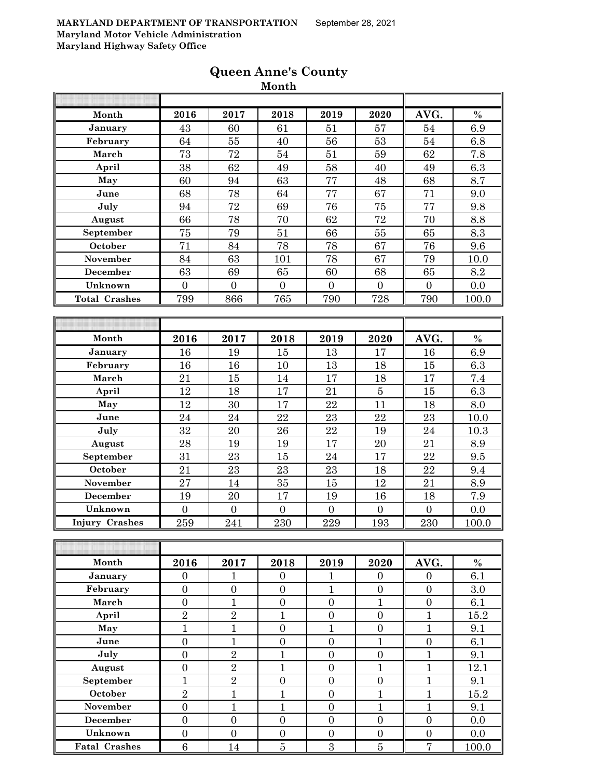|                       |                  |                  | wiohui           |                  |                  |                  |          |
|-----------------------|------------------|------------------|------------------|------------------|------------------|------------------|----------|
|                       |                  |                  |                  |                  |                  |                  |          |
| Month                 | 2016             | 2017             | 2018             | 2019             | 2020             | AVG.             | $\%$     |
| January               | 43               | 60               | 61               | 51               | 57               | 54               | 6.9      |
| February              | 64               | 55               | 40               | 56               | 53               | 54               | 6.8      |
| March                 | 73               | 72               | 54               | 51               | 59               | 62               | 7.8      |
| April                 | 38               | 62               | 49               | 58               | 40               | 49               | 6.3      |
| May                   | 60               | 94               | 63               | 77               | 48               | 68               | 8.7      |
| June                  | 68               | 78               | 64               | 77               | 67               | 71               | 9.0      |
| July                  | 94               | 72               | 69               | 76               | 75               | $\overline{77}$  | 9.8      |
| August                | 66               | 78               | 70               | 62               | 72               | 70               | 8.8      |
| September             | 75               | 79               | 51               | 66               | 55               | 65               | 8.3      |
| October               | 71               | 84               | 78               | 78               | 67               | 76               | 9.6      |
| November              | 84               | 63               | 101              | 78               | 67               | 79               | 10.0     |
| <b>December</b>       | 63               | 69               | 65               | 60               | 68               | 65               | 8.2      |
| Unknown               | $\overline{0}$   | $\overline{0}$   | $\overline{0}$   | $\overline{0}$   | $\overline{0}$   | $\overline{0}$   | 0.0      |
| <b>Total Crashes</b>  | 799              | 866              | 765              | 790              | 728              | 790              | 100.0    |
|                       |                  |                  |                  |                  |                  |                  |          |
|                       |                  |                  |                  |                  |                  |                  |          |
| Month                 | 2016             | 2017             | 2018             | 2019             | 2020             | AVG.             | $\%$     |
| January               | 16               | 19               | 15               | 13               | 17               | 16               | 6.9      |
| February              | 16               | 16               | 10               | 13               | 18               | 15               | 6.3      |
| March                 | 21               | 15               | 14               | 17               | 18               | 17               | 7.4      |
| April                 | 12               | 18               | 17               | 21               | $\bf 5$          | 15               | 6.3      |
| May                   | 12               | 30               | 17               | 22               | 11               | 18               | 8.0      |
| June                  | 24               | 24               | 22               | 23               | 22               | 23               | $10.0\,$ |
| July                  | 32               | 20               | 26               | 22               | 19               | 24               | 10.3     |
| August                | 28               | 19               | 19               | 17               | 20               | 21               | 8.9      |
| September             | 31               | 23               | 15               | 24               | 17               | 22               | 9.5      |
| October               | 21               | 23               | 23               | 23               | 18               | 22               | $9.4\,$  |
| November              | 27               | 14               | 35               | 15               | 12               | 21               | 8.9      |
| <b>December</b>       | 19               | 20               | 17               | 19               | 16               | 18               | 7.9      |
| Unknown               | $\overline{0}$   | $\overline{0}$   | $\overline{0}$   | $\overline{0}$   | $\boldsymbol{0}$ | $\boldsymbol{0}$ | 0.0      |
| <b>Injury Crashes</b> | 259              | 241              | 230              | 229              | 193              | 230              | 100.0    |
|                       |                  |                  |                  |                  |                  |                  |          |
|                       |                  |                  |                  |                  |                  |                  |          |
| Month                 | 2016             | 2017             | 2018             | 2019             | 2020             | AVG.             | $\%$     |
| <b>January</b>        | $\overline{0}$   | 1                | $\mathbf{0}$     | 1                | $\theta$         | $\Omega$         | 6.1      |
| February              | $\boldsymbol{0}$ | $\boldsymbol{0}$ | $\boldsymbol{0}$ | $\mathbf{1}$     | $\boldsymbol{0}$ | $\boldsymbol{0}$ | 3.0      |
| March                 | $\boldsymbol{0}$ | $\mathbf{1}$     | $\boldsymbol{0}$ | $\boldsymbol{0}$ | $\mathbf{1}$     | $\boldsymbol{0}$ | 6.1      |
| April                 | $\overline{2}$   | $\overline{2}$   | $\overline{1}$   | $\overline{0}$   | $\overline{0}$   | $\mathbf{1}$     | 15.2     |
| May                   | $\overline{1}$   | $\mathbf{1}$     | $\boldsymbol{0}$ | $\mathbf{1}$     | $\overline{0}$   | $\mathbf{1}$     | 9.1      |
| June                  | $\overline{0}$   | $\mathbf{1}$     | $\overline{0}$   | $\boldsymbol{0}$ | $\mathbf{1}$     | $\boldsymbol{0}$ | 6.1      |
| July                  | $\boldsymbol{0}$ | $\sqrt{2}$       | $\mathbf{1}$     | $\boldsymbol{0}$ | $\boldsymbol{0}$ | $\mathbf{1}$     | 9.1      |
| August                | $\boldsymbol{0}$ | $\overline{2}$   | $\mathbf{1}$     | $\boldsymbol{0}$ | $\mathbf{1}$     | $\mathbf{1}$     | 12.1     |
| September             | $\mathbf{1}$     | $\overline{2}$   | $\overline{0}$   | $\boldsymbol{0}$ | $\boldsymbol{0}$ | $\mathbf{1}$     | 9.1      |

**October** | 2 | 1 | 1 | 0 | 1 | 1 | 15.2 **November** 0 1 1 1 0 1 1 1 9.1 **December** 0 0 0 0 0 0 0.0 **Unknown** 0 0 0 0 0 0 0.0 **Fatal Crashes** 6 14 5 3 5 7 100.0

# **Queen Anne's County**

**Month**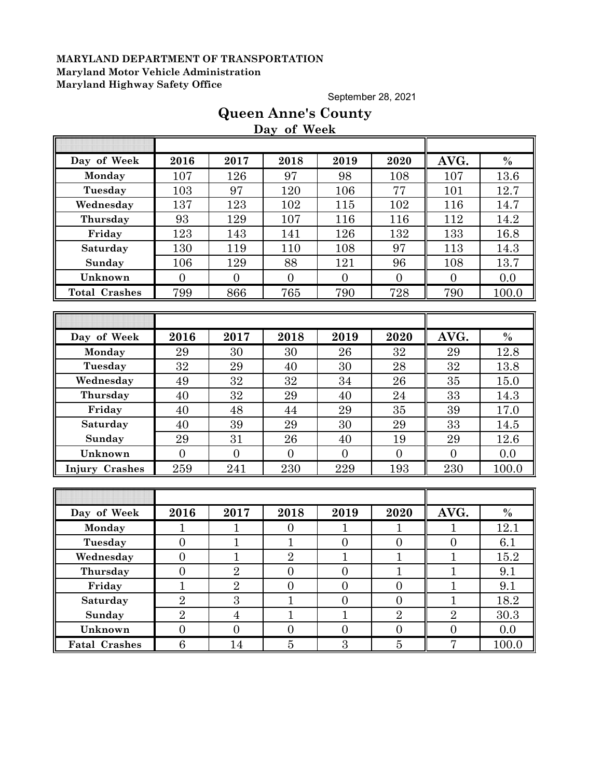September 28, 2021

# **Queen Anne's County**

**Day of Week**

| Day of Week          | 2016           | 2017           | 2018           | 2019           | 2020           | AVG.           | $\frac{0}{0}$ |
|----------------------|----------------|----------------|----------------|----------------|----------------|----------------|---------------|
| Monday               | 107            | 126            | 97             | 98             | 108            | 107            | 13.6          |
| Tuesday              | 103            | 97             | 120            | 106            | 77             | 101            | 12.7          |
| Wednesday            | 137            | 123            | 102            | 115            | 102            | 116            | 14.7          |
| Thursday             | 93             | 129            | 107            | 116            | 116            | 112            | 14.2          |
| Friday               | 123            | 143            | 141            | 126            | 132            | 133            | 16.8          |
| Saturday             | 130            | 119            | 110            | 108            | 97             | 113            | 14.3          |
| Sunday               | 106            | 129            | 88             | 121            | 96             | 108            | 13.7          |
| Unknown              | $\overline{0}$ | $\overline{0}$ | $\overline{0}$ | $\overline{0}$ | $\overline{0}$ | $\overline{0}$ | 0.0           |
| <b>Total Crashes</b> | 799            | 866            | 765            | 790            | 728            | 790            | 100.0         |
|                      |                |                |                |                |                |                |               |
|                      |                |                |                |                |                |                |               |
| Day of Week          | 2016           | 2017           | 2018           | 2019           | 2020           | AVG.           | $\%$          |
| Monday               | 29             | 30             | 30             | 26             | 32             | 29             | 12.8          |
| Tuesday              | 32             | 29             | 40             | 30             | 28             | 32             | 13.8          |
| Wednesday            | 49             | 32             | 32             | 34             | 26             | 35             | 15.0          |
| Thursday             | 40             | 32             | 29             | 40             | 24             | 33             | 14.3          |
| Friday               | 40             | 48             | 44             | 29             | 35             | 39             | 17.0          |
| Saturday             | 40             | 39             | 29             | 30             | 29             | 33             | 14.5          |
| Sunday               | 29             | 31             | 26             | 40             | 19             | 29             | 12.6          |
| Unknown              | $\overline{0}$ | $\overline{0}$ | $\theta$       | $\overline{0}$ | $\overline{0}$ | $\theta$       | 0.0           |
| Injury Crashes       | 259            | 241            | 230            | 229            | 193            | 230            | 100.0         |
|                      |                |                |                |                |                |                |               |
|                      |                |                |                |                |                |                |               |
| Day of Week          | 2016           | 2017           | 2018           | 2019           | 2020           | AVG.           | $\%$          |
| Monday               | $\mathbf 1$    | $\mathbf{1}$   | $\overline{0}$ | $\mathbf 1$    | $\mathbf{1}$   | 1              | 12.1          |
| Tuesday              | $\overline{0}$ | $\mathbf{1}$   | $\mathbf{1}$   | $\overline{0}$ | $\overline{0}$ | $\overline{0}$ | 6.1           |
| Wednesday            | $\overline{0}$ | $\mathbf{1}$   | $\overline{2}$ | $\overline{1}$ | $\overline{1}$ | $\overline{1}$ | 15.2          |
| Thursday             | $\overline{0}$ | $\overline{2}$ | $\overline{0}$ | $\overline{0}$ | $\overline{1}$ | $\mathbf 1$    | 9.1           |
| Friday               | $\overline{1}$ | $\overline{2}$ | $\overline{0}$ | $\overline{0}$ | $\overline{0}$ | $\mathbf{1}$   | 9.1           |
| Saturday             | $\overline{2}$ | $\overline{3}$ | $\overline{1}$ | $\overline{0}$ | $\overline{0}$ | $\overline{1}$ | 18.2          |
| Sunday               | $\overline{2}$ | $\overline{4}$ | $\mathbf{1}$   | $\mathbf{1}$   | $\overline{2}$ | $\overline{2}$ | 30.3          |
| Unknown              | $\overline{0}$ | $\overline{0}$ | $\overline{0}$ | $\overline{0}$ | $\overline{0}$ | $\overline{0}$ | 0.0           |
| <b>Fatal Crashes</b> | 6              | 14             | $\overline{5}$ | $\overline{3}$ | $\overline{5}$ | $\overline{7}$ | 100.0         |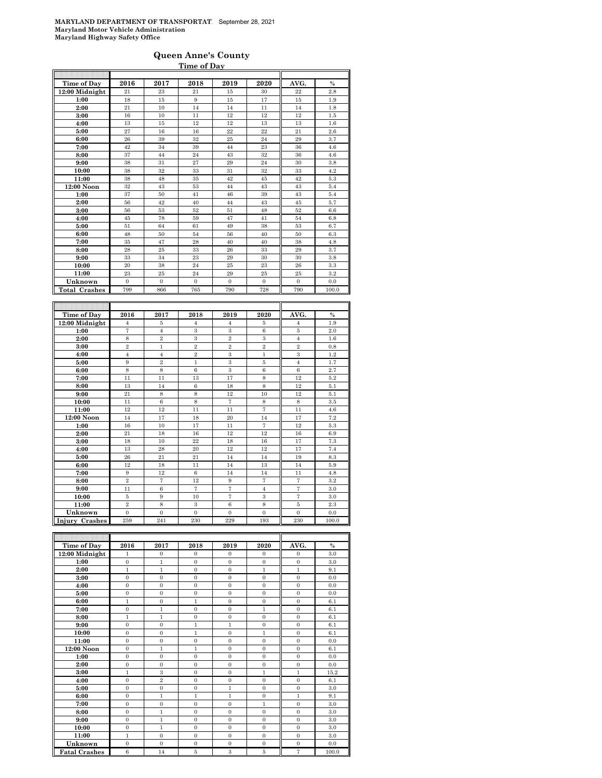### **Queen Anne's County Time of Day**

| Time of Day          | 2016           | 2017           | 2018           | 2019              | 2020              | AVG.           | $\frac{0}{0}$ |
|----------------------|----------------|----------------|----------------|-------------------|-------------------|----------------|---------------|
| 12:00 Midnight       | 21             | 23             | 21             | 15                | 30                | 22             | 2.8           |
| 1:00                 | 18             | 15             | 9              | 15                | 17                | 15             | 1.9           |
| 2:00                 | 21             | 10             | 14             | 14                | 11                | 14             | 1.8           |
| 3:00                 | 16             | 10             | 11             | 12                | 12                | 12             | 1.5           |
| 4:00                 | 13             | 15             | 12             | 12                | 13                | 13             | 1.6           |
| 5:00                 | 27             | 16             | 16             | $^{22}$           | 22                | 21             | 2.6           |
| 6:00                 | 26             | 39             | 32             | 25                | 24                | 29             | 3.7           |
| 7:00                 | 42             | 34             | 39             | 44                | 23                | 36             | 4.6           |
| 8:00                 | 37             | 44             | 24             | 43                | 32                | 36             | 4.6           |
| 9:00                 | 38             | 31             | 27             | 29                | 24                | 30             | 3.8           |
| 10:00                | 38             | 32             | 33             | 31                | 32                | 33             | 4.2           |
| 11:00                | 38             | 48             | 35             | 42                | 45                | 42             | 5.3           |
| 12:00 Noon           | 32             | 43             | 53             | 44                | 43                | 43             | 5.4           |
| 1:00                 | 37             | 50             | 41             | 46                | 39                | 43             | 5.4           |
| 2:00                 | 56             | 42             | 40             | 44                | 43                | 45             | 5.7           |
| 3:00                 | 56             | 53             | 52             | 51                | 48                | 52             | 6.6           |
| 4:00                 | 45             | 78             | 59             | 47                | 41                | 54             | 6.8           |
| 5:00                 | 51             | 64             | 61             | 49                | 38                | 53             | 6.7           |
| 6:00                 | 48             | 50             | 54             | 56                | 40                | 50             | 6.3           |
| 7:00                 | 35             | 47             | 28             | 40                | 40                | 38             | 4.8           |
| 8:00                 | 28             | 25             | 33             | 26                | 33                | 29             | 3.7           |
| 9:00                 | 33             | 34             | 23             | 29                | 30                | 30             | 3.8           |
| 10:00                | 20             | 38             | 24             | 25                | 23                | 26             | 3.3           |
| 11:00                | 23             | 25             | 24             | 29                | 25                | 25             | 3.2           |
| Unknown              | $\overline{0}$ | $\overline{0}$ | $\overline{0}$ | $\overline{0}$    | $\overline{0}$    | $\overline{0}$ | 0.0           |
| <b>Total Crashes</b> | 799            | 866            | 765            | 790               | 728               | 790            | 100.0         |
|                      |                |                |                |                   |                   |                |               |
|                      |                |                |                |                   |                   |                |               |
| Time of Day          | 2016           | 2017           | 2018           | 2019              | 2020              | AVG.           | $\%$          |
| 12:00 Midnight       | $\overline{4}$ | 5              | $\overline{4}$ | $\overline{4}$    | 5                 | $\overline{4}$ | 1.9           |
| 1:00                 | $\overline{7}$ | $\overline{4}$ | 3              | 3                 | 6                 | $\overline{5}$ | $2.0\,$       |
| 2:00                 | 8              | $\,2\,$        | 3              | $\overline{2}$    | 3                 | $\overline{4}$ | 1.6           |
| 3:00                 | $\overline{2}$ | $\mathbf{1}$   | $\overline{2}$ | $\overline{2}$    | $\overline{2}$    | $\mathfrak{D}$ | 0.8           |
| 4:00                 | $\overline{4}$ | $\overline{4}$ | $\overline{2}$ | 3                 | $\mathbf{1}$      | 3              | 1.2           |
| 5:00                 | 9              | $\overline{2}$ | $\mathbf{1}$   | 3                 | 5                 | $\overline{4}$ | 1.7           |
| 6:00                 | 8              | 8              | $\overline{6}$ | 3                 | 6                 | 6              | 2.7           |
| 7:00                 | 11             | 11             | 13             | 17                | 8                 | 12             | $5.2\,$       |
| 8:00                 | 13             | 14             | $\,6$          | 18                | 8                 | 12             | 5.1           |
| 9:00                 | 21             | 8              | 8              | 12                | 10                | 12             | 5.1           |
| 10:00                | 11             | 6              | 8              | $\scriptstyle{7}$ | 8                 | 8              | 3.5           |
| 11:00                | 12             | 12             | 11             | 11                | $\overline{7}$    | 11             | 4.6           |
| 12:00 Noon           | 14             | 17             | 18             | 20                | 14                | 17             | 7.2           |
| 1:00                 | 16             | 10             | 17             | 11                | $\scriptstyle{7}$ | 12             | 5.3           |
| 2:00                 | 21             | 18             | 16             | 12                | 12                | 16             | 6.9           |
| 3:00                 | 18             | 10             | 22             | 18                | 16                | 17             | 7.3           |
| 4:00                 | 13             | 28             | 20             | 12                | 12                | 17             | 7.4           |
| 5:00                 | 26             | 21             | 21             | 14                | 14                | 19             | 8.3           |
| 6:00                 | 12             | 18             | 11             | 14                | 13                | 14             | 5.9           |
| 7:00                 | 9              | 12             | $\,6$          | 14                | 14                | 11             | 4.8           |
| 8:00                 | $\overline{2}$ | $\overline{7}$ | 12             | 9                 | $\overline{7}$    | $\overline{7}$ | $3.2\,$       |

| Time of Day          | 2016         | 2017           | 2018           | 2019                    | 2020           | AVG.           | $\%$  |
|----------------------|--------------|----------------|----------------|-------------------------|----------------|----------------|-------|
| 12:00 Midnight       | 1            | $\mathbf{0}$   | $\mathbf{0}$   | $\mathbf{0}$            | $\theta$       | $\mathbf{0}$   | 3.0   |
| 1:00                 | $\Omega$     | $\mathbf{1}$   | $\Omega$       | $\Omega$                | $\Omega$       | $\overline{0}$ | 3.0   |
| 2:00                 | $\mathbf{1}$ | 1              | $\Omega$       | $\Omega$                | $\mathbf{1}$   | $\mathbf{1}$   | 9.1   |
| 3:00                 | $\mathbf{0}$ | $\overline{0}$ | $\overline{0}$ | $\mathbf{0}$            | $\overline{0}$ | $\overline{0}$ | 0.0   |
| 4:00                 | $\Omega$     | $\Omega$       | $\Omega$       | $\Omega$                | $\Omega$       | $\Omega$       | 0.0   |
| 5:00                 | $\Omega$     | $\overline{0}$ | $\overline{0}$ | $\mathbf{0}$            | $\overline{0}$ | $\overline{0}$ | 0.0   |
| 6:00                 | $\mathbf{1}$ | $\overline{0}$ | $\mathbf{1}$   | $\Omega$                | $\Omega$       | $\overline{0}$ | 6.1   |
| 7:00                 | $\Omega$     | $\mathbf{1}$   | $\overline{0}$ | $\Omega$                | $\mathbf{1}$   | $\overline{0}$ | 6.1   |
| 8:00                 | $\mathbf{1}$ | $\mathbf{1}$   | $\overline{0}$ | $\Omega$                | $\overline{0}$ | $\overline{0}$ | 6.1   |
| 9:00                 | $\Omega$     | $\Omega$       | $\mathbf{1}$   | $\mathbf{1}$            | $\Omega$       | $\Omega$       | 6.1   |
| 10:00                | $\Omega$     | $\Omega$       | $\mathbf{1}$   | $\Omega$                | $\mathbf{1}$   | $\mathbf{0}$   | 6.1   |
| 11:00                | $\mathbf{0}$ | $\overline{0}$ | $\overline{0}$ | $\overline{0}$          | $\overline{0}$ | $\overline{0}$ | 0.0   |
| 12:00 Noon           | $\Omega$     | $\mathbf{1}$   | $\mathbf{1}$   | $\Omega$                | $\Omega$       | $\overline{0}$ | 6.1   |
| 1:00                 | $\mathbf{0}$ | $\overline{0}$ | $\overline{0}$ | $\Omega$                | $\overline{0}$ | $\overline{0}$ | 0.0   |
| 2:00                 | $\Omega$     | $\Omega$       | $\Omega$       | $\Omega$                | $\Omega$       | $\Omega$       | 0.0   |
| 3:00                 | $\mathbf{1}$ | 3              | $\overline{0}$ | $\mathbf{0}$            | $\mathbf{1}$   | $\mathbf{1}$   | 15.2  |
| 4:00                 | $\mathbf{0}$ | $\overline{2}$ | $\overline{0}$ | $\mathbf{0}$            | $\overline{0}$ | $\overline{0}$ | 6.1   |
| 5:00                 | $\Omega$     | $\theta$       | $\overline{0}$ | 1                       | $\Omega$       | $\overline{0}$ | 3.0   |
| 6:00                 | $\Omega$     | 1              | $\mathbf{1}$   | 1                       | $\theta$       | $\mathbf{1}$   | 9.1   |
| 7:00                 | $\mathbf{0}$ | $\mathbf{0}$   | $\mathbf{0}$   | $\mathbf{0}$            | $\mathbf{1}$   | $\mathbf{0}$   | 3.0   |
| 8:00                 | $\mathbf{0}$ | $\mathbf{1}$   | $\overline{0}$ | $\mathbf{0}$            | $\overline{0}$ | $\overline{0}$ | 3.0   |
| 9:00                 | $\Omega$     | $\mathbf{1}$   | $\overline{0}$ | $\Omega$                | $\Omega$       | $\overline{0}$ | 3.0   |
| 10:00                | $\Omega$     | 1              | $\Omega$       | $\Omega$                | $\Omega$       | $\Omega$       | 3.0   |
| 11:00                | $\mathbf{1}$ | $\mathbf{0}$   | $\mathbf{0}$   | $\mathbf{0}$            | $\mathbf{0}$   | $\mathbf{0}$   | 3.0   |
| Unknown              | $\Omega$     | $\overline{0}$ | $\overline{0}$ | $\mathbf{0}$            | $\theta$       | $\overline{0}$ | 0.0   |
| <b>Fatal Crashes</b> | 6            | 14             | 5              | $\overline{\mathbf{3}}$ | 5              | $\overline{7}$ | 100.0 |

**9:00** 11 6 7 7 4 7 3.0 **10:00** 5 9 10 7 3 7 3.0 **11:00** 2 8 3 6 8 5 2.3 **Unknown** 0 0 0 0 0 0 0.0 **Injury Crashes** 259 241 230 229 193 230 100.0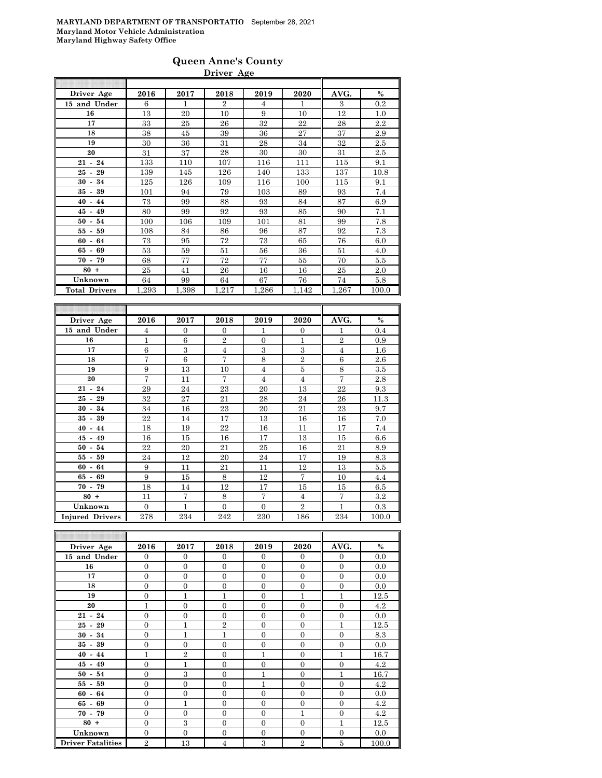### **Queen Anne's County Driver Age**

| Driver Age           | 2016  | 2017  | 2018           | 2019           | 2020  | AVG.  | $\%$  |
|----------------------|-------|-------|----------------|----------------|-------|-------|-------|
| 15 and Under         | 6     | 1     | $\overline{2}$ | $\overline{4}$ | 1     | 3     | 0.2   |
| 16                   | 13    | 20    | 10             | 9              | 10    | 12    | 1.0   |
| 17                   | 33    | 25    | 26             | 32             | 22    | 28    | 2.2   |
| 18                   | 38    | 45    | 39             | 36             | 27    | 37    | 2.9   |
| 19                   | 30    | 36    | 31             | 28             | 34    | 32    | 2.5   |
| 20                   | 31    | 37    | 28             | 30             | 30    | 31    | 2.5   |
| $21 - 24$            | 133   | 110   | 107            | 116            | 111   | 115   | 9.1   |
| $25 - 29$            | 139   | 145   | 126            | 140            | 133   | 137   | 10.8  |
| $30 - 34$            | 125   | 126   | 109            | 116            | 100   | 115   | 9.1   |
| $35 - 39$            | 101   | 94    | 79             | 103            | 89    | 93    | 7.4   |
| $40 - 44$            | 73    | 99    | 88             | 93             | 84    | 87    | 6.9   |
| $45 - 49$            | 80    | 99    | 92             | 93             | 85    | 90    | 7.1   |
| $50 - 54$            | 100   | 106   | 109            | 101            | 81    | 99    | 7.8   |
| $55 - 59$            | 108   | 84    | 86             | 96             | 87    | 92    | 7.3   |
| $60 - 64$            | 73    | 95    | 72             | 73             | 65    | 76    | 6.0   |
| $65 - 69$            | 53    | 59    | 51             | 56             | 36    | 51    | 4.0   |
| $70 - 79$            | 68    | 77    | 72             | 77             | 55    | 70    | 5.5   |
| $80 +$               | 25    | 41    | 26             | 16             | 16    | 25    | 2.0   |
| Unknown              | 64    | 99    | 64             | 67             | 76    | 74    | 5.8   |
| <b>Total Drivers</b> | 1,293 | 1,398 | 1.217          | 1,286          | 1,142 | 1,267 | 100.0 |
|                      |       |       |                |                |       |       |       |
|                      |       |       |                |                |       |       |       |
| Driver Age           | 2016  | 2017  | 2018           | 2019           | 2020  | AVG.  | $\%$  |
|                      |       |       |                |                |       |       |       |

| Driver Age             | 2016           | 2017           | 2018           | 2019           | 2020           | AVG.           | $\%$  |
|------------------------|----------------|----------------|----------------|----------------|----------------|----------------|-------|
| 15 and Under           | 4              | $\overline{0}$ | $\overline{0}$ | 1              | $\mathbf{0}$   | 1              | 0.4   |
| 16                     | 1              | 6              | $\overline{2}$ | $\Omega$       | $\mathbf{1}$   | $\mathbf{2}$   | 0.9   |
| 17                     | 6              | 3              | $\overline{4}$ | 3              | 3              | $\overline{4}$ | 1.6   |
| 18                     | 7              | 6              | $\overline{7}$ | 8              | $\overline{2}$ | 6              | 2.6   |
| 19                     | 9              | 13             | 10             | $\overline{4}$ | 5              | 8              | 3.5   |
| 20                     | 7              | 11             | 7              | $\overline{4}$ | $\overline{4}$ | $\overline{7}$ | 2.8   |
| $21 - 24$              | 29             | 24             | 23             | 20             | 13             | 22             | 9.3   |
| $25 - 29$              | 32             | 27             | 21             | 28             | 24             | 26             | 11.3  |
| $30 - 34$              | 34             | 16             | 23             | 20             | 21             | 23             | 9.7   |
| $35 - 39$              | 22             | 14             | 17             | 13             | 16             | 16             | 7.0   |
| $40 - 44$              | 18             | 19             | 22             | 16             | 11             | 17             | 7.4   |
| $45 - 49$              | 16             | 15             | 16             | 17             | 13             | 15             | 6.6   |
| $50 - 54$              | 22             | 20             | 21             | 25             | 16             | 21             | 8.9   |
| $55 - 59$              | 24             | 12             | 20             | 24             | 17             | 19             | 8.3   |
| $60 - 64$              | 9              | 11             | 21             | 11             | 12             | 13             | 5.5   |
| 65 -<br>69             | 9              | 15             | 8              | 12             | 7              | 10             | 4.4   |
| $70 - 79$              | 18             | 14             | 12             | 17             | 15             | 15             | 6.5   |
| $80 +$                 | 11             | $\overline{7}$ | 8              | $\overline{7}$ | $\overline{4}$ | $\overline{7}$ | 3.2   |
| Unknown                | $\overline{0}$ | $\mathbf{1}$   | $\overline{0}$ | $\overline{0}$ | $\overline{2}$ | $\mathbf{1}$   | 0.3   |
| <b>Injured Drivers</b> | 278            | 234            | 242            | 230            | 186            | 234            | 100.0 |

| Driver Age               | 2016           | 2017           | 2018           | 2019           | 2020           | AVG.           | $\%$  |
|--------------------------|----------------|----------------|----------------|----------------|----------------|----------------|-------|
| 15 and Under             | $\Omega$       | $\Omega$       | $\Omega$       | $\Omega$       | $\Omega$       | $\Omega$       | 0.0   |
| 16                       | $\mathbf{0}$   | $\overline{0}$ | $\Omega$       | $\Omega$       | $\Omega$       | $\overline{0}$ | 0.0   |
| 17                       | $\Omega$       | $\overline{0}$ | $\overline{0}$ | $\Omega$       | $\mathbf{0}$   | $\Omega$       | 0.0   |
| 18                       | $\Omega$       | $\overline{0}$ | $\overline{0}$ | $\Omega$       | $\Omega$       | $\overline{0}$ | 0.0   |
| 19                       | $\Omega$       | $\mathbf{1}$   | 1              | $\overline{0}$ | 1              | 1              | 12.5  |
| 20                       | 1              | $\overline{0}$ | $\overline{0}$ | $\theta$       | $\mathbf{0}$   | $\overline{0}$ | 4.2   |
| $21 - 24$                | $\Omega$       | $\overline{0}$ | $\theta$       | $\Omega$       | $\overline{0}$ | $\overline{0}$ | 0.0   |
| $25 - 29$                | $\Omega$       | $\mathbf{1}$   | $\overline{2}$ | $\Omega$       | $\overline{0}$ | 1              | 12.5  |
| $30 - 34$                | $\Omega$       | $\mathbf{1}$   | $\mathbf{1}$   | $\overline{0}$ | $\overline{0}$ | $\overline{0}$ | 8.3   |
| $35 - 39$                | $\Omega$       | $\overline{0}$ | $\overline{0}$ | $\overline{0}$ | $\overline{0}$ | $\overline{0}$ | 0.0   |
| $40 - 44$                | 1              | $\overline{2}$ | $\overline{0}$ | 1              | $\mathbf{0}$   | 1              | 16.7  |
| $45 - 49$                | $\overline{0}$ | 1              | $\overline{0}$ | $\overline{0}$ | $\overline{0}$ | $\overline{0}$ | 4.2   |
| $50 - 54$                | $\Omega$       | 3              | $\theta$       | 1              | $\Omega$       | 1              | 16.7  |
| $55 - 59$                | $\Omega$       | $\Omega$       | $\theta$       | 1              | $\Omega$       | $\Omega$       | 4.2   |
| $60 - 64$                | $\Omega$       | $\overline{0}$ | $\Omega$       | $\Omega$       | $\Omega$       | $\Omega$       | 0.0   |
| $65 - 69$                | $\overline{0}$ | $\mathbf{1}$   | $\overline{0}$ | $\Omega$       | $\overline{0}$ | $\Omega$       | 4.2   |
| $70 - 79$                | $\Omega$       | $\Omega$       | $\overline{0}$ | $\Omega$       | 1              | $\overline{0}$ | 4.2   |
| $80 +$                   | $\Omega$       | 3              | $\overline{0}$ | $\Omega$       | $\overline{0}$ | $\mathbf{1}$   | 12.5  |
| Unknown                  | $\mathbf{0}$   | $\overline{0}$ | $\overline{0}$ | $\Omega$       | $\overline{0}$ | $\Omega$       | 0.0   |
| <b>Driver Fatalities</b> | $\overline{2}$ | 13             | 4              | 3              | $\overline{2}$ | 5              | 100.0 |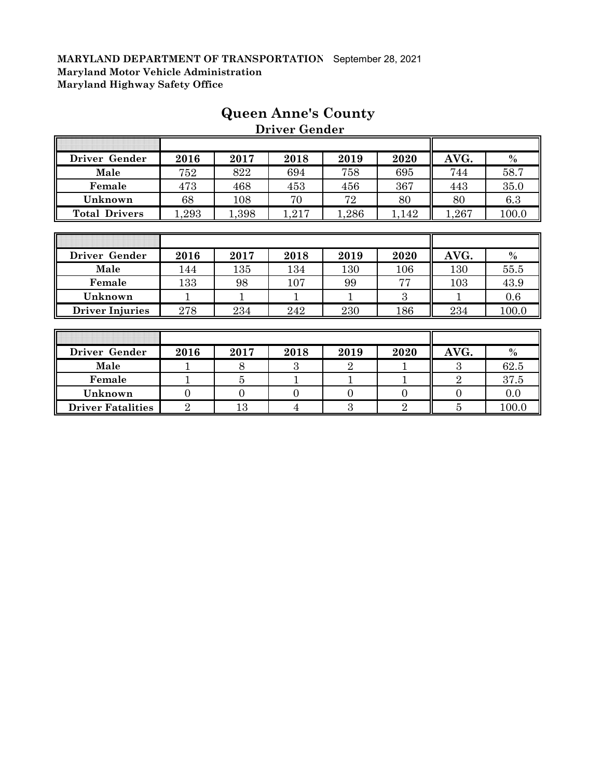| Driver Gender          | 2016  | 2017  | 2018  | 2019           | 2020  | AVG.  | $\%$          |
|------------------------|-------|-------|-------|----------------|-------|-------|---------------|
| Male                   | 752   | 822   | 694   | 758            | 695   | 744   | 58.7          |
| Female                 | 473   | 468   | 453   | 456            | 367   | 443   | 35.0          |
| Unknown                | 68    | 108   | 70    | 72             | 80    | 80    | 6.3           |
| <b>Total Drivers</b>   | 1,293 | 1,398 | 1,217 | 1,286          | 1,142 | 1,267 | 100.0         |
|                        |       |       |       |                |       |       |               |
|                        |       |       |       |                |       |       |               |
| Driver Gender          | 2016  | 2017  | 2018  | 2019           | 2020  | AVG.  | $\frac{0}{0}$ |
| Male                   | 144   | 135   | 134   | 130            | 106   | 130   | 55.5          |
| Female                 | 133   | 98    | 107   | 99             | 77    | 103   | 43.9          |
| Unknown                |       |       |       |                | 3     |       | 0.6           |
| <b>Driver Injuries</b> | 278   | 234   | 242   | 230            | 186   | 234   | 100.0         |
|                        |       |       |       |                |       |       |               |
|                        |       |       |       |                |       |       |               |
| Driver Gender          | 2016  | 2017  | 2018  | 2019           | 2020  | AVG.  | $\%$          |
| Male                   |       | 8     | 3     | $\overline{2}$ |       | 3     | 62.5          |

**Female** 1 1 5 1 1 1 1 1 2 37.5 **Unknown** 0 0 0 0 0 0 0.0 **Driver Fatalities** 2 13 4 3 2 5 100.0

# **Queen Anne's County Driver Gender**

 $\overline{a}$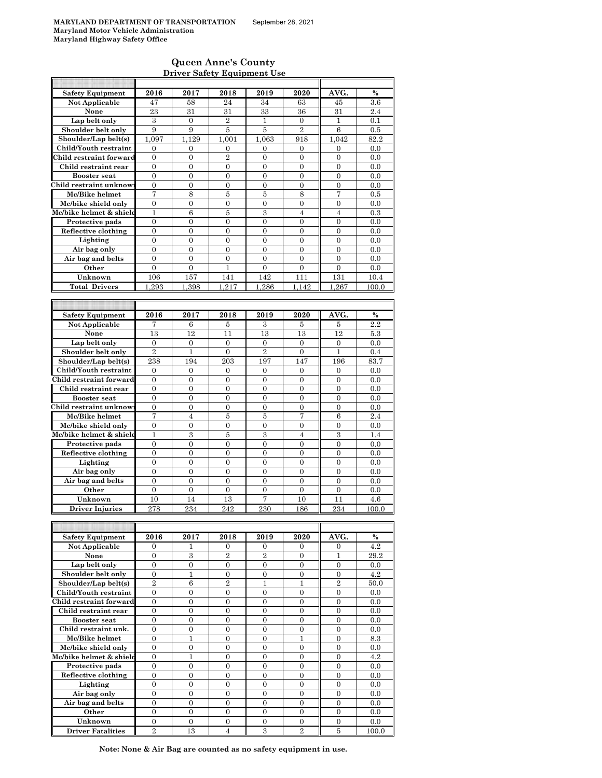### **Queen Anne's County Driver Safety Equipment Use**

| <b>Safety Equipment</b>                          | 2016                               | 2017                             | 2018                               | 2019                  | 2020                             | AVG.                               | $\frac{0}{0}$ |
|--------------------------------------------------|------------------------------------|----------------------------------|------------------------------------|-----------------------|----------------------------------|------------------------------------|---------------|
| <b>Not Applicable</b>                            | 47                                 | 58                               | 24                                 | 34                    | 63                               | 45                                 | 3.6           |
| None                                             | 23                                 | 31                               | 31                                 | 33                    | 36                               | 31                                 | 2.4           |
| Lap belt only                                    | 3                                  | $\mathbf{0}$                     | $\overline{2}$                     | 1                     | $\boldsymbol{0}$                 | $\mathbf{1}$                       | 0.1           |
| Shoulder belt only                               | 9                                  | 9                                | 5                                  | 5                     | $\overline{2}$                   | 6                                  | 0.5           |
| Shoulder/Lap belt(s)                             | 1,097                              | 1.129                            | 1.001                              | 1,063                 | 918                              | 1.042                              | 82.2          |
| Child/Youth restraint<br>Child restraint forward | $\boldsymbol{0}$<br>$\overline{0}$ | $\boldsymbol{0}$<br>$\mathbf{0}$ | 0<br>$\overline{2}$                | 0<br>$\overline{0}$   | 0<br>$\overline{0}$              | 0<br>$\overline{0}$                | 0.0<br>0.0    |
| Child restraint rear                             | 0                                  | $\mathbf{0}$                     | $\mathbf{0}$                       | 0                     | 0                                | $\overline{0}$                     | 0.0           |
| <b>Booster seat</b>                              | $\overline{0}$                     | $\overline{0}$                   | $\overline{0}$                     | $\overline{0}$        | $\overline{0}$                   | $\overline{0}$                     | 0.0           |
| Child restraint unknow                           | 0                                  | $\boldsymbol{0}$                 | $\boldsymbol{0}$                   | 0                     | 0                                | $\boldsymbol{0}$                   | 0.0           |
| Mc/Bike helmet                                   | 7                                  | 8                                | 5                                  | 5                     | 8                                | 7                                  | 0.5           |
| Mc/bike shield only                              | $\overline{0}$                     | $\overline{0}$                   | $\overline{0}$                     | $\overline{0}$        | $\overline{0}$                   | $\overline{0}$                     | 0.0           |
| Mc/bike helmet & shield                          | 1                                  | 6                                | 5                                  | 3                     | 4                                | $\overline{4}$                     | 0.3           |
| Protective pads                                  | $\boldsymbol{0}$                   | $\overline{0}$                   | $\mathbf{0}$                       | $\overline{0}$        | $\overline{0}$                   | $\overline{0}$                     | 0.0           |
| Reflective clothing                              | $\overline{0}$                     | $\mathbf{0}$                     | $\overline{0}$                     | $\boldsymbol{0}$      | $\boldsymbol{0}$                 | $\mathbf{0}$                       | 0.0           |
| Lighting                                         | $\overline{0}$                     | $\mathbf{0}$                     | $\overline{0}$                     | $\overline{0}$        | 0                                | $\mathbf{0}$                       | 0.0           |
| Air bag only                                     | $\mathbf{0}$                       | $\mathbf{0}$                     | $\overline{0}$                     | $\overline{0}$        | $\overline{0}$                   | $\overline{0}$                     | 0.0           |
| Air bag and belts                                | $\overline{0}$                     | $\mathbf{0}$                     | $\overline{0}$                     | $\overline{0}$        | $\theta$                         | $\theta$                           | 0.0           |
| Other                                            | $\overline{0}$                     | $\mathbf{0}$                     | 1                                  | 0                     | $\overline{0}$                   | $\overline{0}$                     | 0.0           |
| Unknown                                          | 106                                | 157                              | 141                                | 142                   | 111                              | 131                                | 10.4          |
| <b>Total Drivers</b>                             | 1,293                              | 1,398                            | 1,217                              | 1,286                 | 1.142                            | 1,267                              | 100.0         |
|                                                  |                                    |                                  |                                    |                       |                                  |                                    |               |
| <b>Safety Equipment</b>                          | 2016                               | 2017                             | 2018                               | 2019                  | 2020                             | AVG.                               | $\%$          |
| Not Applicable                                   | 7                                  | 6                                | 5                                  | 3                     | 5                                | 5                                  | 2.2           |
| None                                             | 13                                 | 12                               | 11                                 | 13                    | 13                               | 12                                 | 5.3           |
| Lap belt only                                    | $\boldsymbol{0}$                   | $\boldsymbol{0}$                 | 0                                  | 0                     | 0                                | 0                                  | 0.0           |
| Shoulder belt only                               | $\overline{2}$                     | 1                                | $\overline{0}$                     | $\overline{2}$        | $\overline{0}$                   | $\mathbf{1}$                       | 0.4           |
| Shoulder/Lap belt(s)                             | 238                                | 194                              | 203                                | 197                   | 147                              | 196                                | 83.7          |
| Child/Youth restraint                            | $\mathbf{0}$                       | $\mathbf{0}$                     | $\overline{0}$                     | $\overline{0}$        | $\overline{0}$                   | $\overline{0}$                     | 0.0           |
| Child restraint forward                          | 0                                  | $\boldsymbol{0}$                 | $\boldsymbol{0}$                   | 0                     | 0                                | $\boldsymbol{0}$                   | 0.0           |
| Child restraint rear                             | 0                                  | $\mathbf{0}$                     | $\overline{0}$                     | $\overline{0}$        | 0                                | $\overline{0}$                     | 0.0           |
| <b>Booster</b> seat                              | $\mathbf{0}$                       | $\mathbf{0}$                     | $\overline{0}$                     | $\overline{0}$        | $\overline{0}$                   | $\overline{0}$                     | 0.0           |
| Child restraint unknow                           | 0                                  | $\boldsymbol{0}$                 | $\boldsymbol{0}$                   | $\boldsymbol{0}$      | $\boldsymbol{0}$                 | $\boldsymbol{0}$                   | 0.0           |
| Mc/Bike helmet                                   | 7                                  | $\overline{4}$                   | 5                                  | 5                     | 7                                | 6                                  | 2.4           |
| Mc/bike shield only                              | $\overline{0}$                     | $\boldsymbol{0}$                 | 0                                  | $\boldsymbol{0}$      | $\boldsymbol{0}$                 | 0                                  | 0.0           |
| Mc/bike helmet & shield                          | $\mathbf{1}$<br>$\overline{0}$     | 3<br>$\overline{0}$              | 5<br>$\overline{0}$                | 3<br>$\overline{0}$   | 4<br>$\overline{0}$              | 3<br>$\overline{0}$                | 1.4<br>0.0    |
| Protective pads<br>Reflective clothing           | $\overline{0}$                     | $\overline{0}$                   | $\overline{0}$                     | $\overline{0}$        | 0                                | $\overline{0}$                     | 0.0           |
| Lighting                                         | $\mathbf{0}$                       | $\boldsymbol{0}$                 | $\boldsymbol{0}$                   | 0                     | $\boldsymbol{0}$                 | $\boldsymbol{0}$                   | 0.0           |
| Air bag only                                     | $\boldsymbol{0}$                   | $\boldsymbol{0}$                 | 0                                  | 0                     | 0                                | $\mathbf{0}$                       | 0.0           |
| Air bag and belts                                | $\overline{0}$                     | $\overline{0}$                   | $\overline{0}$                     | $\overline{0}$        | $\overline{0}$                   | $\overline{0}$                     | 0.0           |
| Other                                            | $\boldsymbol{0}$                   | $\mathbf{0}$                     | 0                                  | 0                     | 0                                | 0                                  | 0.0           |
| Unknown                                          | 10                                 | 14                               | 13                                 | $\overline{7}$        | 10                               | 11                                 | 4.6           |
| <b>Driver Injuries</b>                           | 278                                | 234                              | 242                                | 230                   | 186                              | 234                                | 100.0         |
|                                                  |                                    |                                  |                                    |                       |                                  |                                    |               |
|                                                  |                                    |                                  |                                    |                       |                                  |                                    |               |
| <b>Safety Equipment</b>                          | 2016                               | 2017                             | 2018                               | 2019                  | 2020                             | AVG.                               | %             |
| Not Applicable                                   | 0                                  | 1                                | 0                                  | 0                     | 0                                | 0                                  | 4.2           |
| None                                             | 0                                  | 3                                | $\,2$                              | $\,2$                 | 0                                | 1                                  | 29.2          |
| Lap belt only                                    | $\boldsymbol{0}$                   | $\boldsymbol{0}$                 | $\mathbf{0}$                       | $\overline{0}$        | $\overline{0}$                   | $\overline{0}$                     | 0.0           |
| Shoulder belt only                               | $\boldsymbol{0}$                   | $\mathbf{1}$                     | $\boldsymbol{0}$                   | 0                     | 0                                | 0                                  | 4.2           |
| Shoulder/Lap belt(s)<br>Child/Youth restraint    | $\overline{2}$<br>$\boldsymbol{0}$ | 6<br>$\boldsymbol{0}$            | $\overline{2}$<br>$\boldsymbol{0}$ | 1<br>$\boldsymbol{0}$ | 1<br>$\boldsymbol{0}$            | $\overline{2}$<br>$\boldsymbol{0}$ | 50.0<br>0.0   |
| Child restraint forward                          | $\boldsymbol{0}$                   | $\boldsymbol{0}$                 | $\boldsymbol{0}$                   | $\boldsymbol{0}$      | $\boldsymbol{0}$                 | $\boldsymbol{0}$                   | 0.0           |
| Child restraint rear                             | $\boldsymbol{0}$                   | $\boldsymbol{0}$                 | 0                                  | 0                     | $\boldsymbol{0}$                 | $\boldsymbol{0}$                   | 0.0           |
| <b>Booster seat</b>                              | 0                                  | $\boldsymbol{0}$                 | $\boldsymbol{0}$                   | $\boldsymbol{0}$      | $\boldsymbol{0}$                 | $\boldsymbol{0}$                   | 0.0           |
| Child restraint unk.                             | $\overline{0}$                     | $\mathbf{0}$                     | $\overline{0}$                     | $\mathbf{0}$          | $\overline{0}$                   | $\overline{0}$                     | 0.0           |
| Mc/Bike helmet                                   | $\mathbf{0}$                       | $\mathbf{1}$                     | $\mathbf{0}$                       | $\mathbf{0}$          | $\mathbf{1}$                     | $\overline{0}$                     | 8.3           |
| Mc/bike shield only                              | 0                                  | $\boldsymbol{0}$                 | $\boldsymbol{0}$                   | $\overline{0}$        | 0                                | $\overline{0}$                     | 0.0           |
| Mc/bike helmet & shield                          | $\boldsymbol{0}$                   | $\mathbf{1}$                     | $\boldsymbol{0}$                   | $\boldsymbol{0}$      | $\boldsymbol{0}$                 | $\boldsymbol{0}$                   | 4.2           |
| Protective pads                                  | 0                                  | 0                                | 0                                  | 0                     | 0                                | 0                                  | 0.0           |
| Reflective clothing                              | $\overline{0}$                     | $\mathbf{0}$                     | $\overline{0}$                     | $\overline{0}$        | $\boldsymbol{0}$                 | $\overline{0}$                     | 0.0           |
| Lighting                                         | $\boldsymbol{0}$                   | 0                                | 0                                  | 0                     | 0                                | 0                                  | 0.0           |
| Air bag only                                     | $\overline{0}$                     | $\boldsymbol{0}$                 | $\boldsymbol{0}$                   | $\boldsymbol{0}$      | $\boldsymbol{0}$                 | $\boldsymbol{0}$                   | 0.0           |
| Air bag and belts                                | 0                                  | 0                                | 0                                  | 0                     | $\boldsymbol{0}$                 | 0                                  | 0.0           |
| Other                                            | $\overline{0}$                     | $\mathbf{0}$                     | $\boldsymbol{0}$                   | $\boldsymbol{0}$      | $\overline{0}$                   | $\overline{0}$                     | 0.0           |
| Unknown<br><b>Driver Fatalities</b>              | $\boldsymbol{0}$<br>$\overline{2}$ | $\overline{0}$<br>13             | $\mathbf{0}$                       | $\boldsymbol{0}$<br>3 | $\overline{0}$<br>$\overline{2}$ | $\boldsymbol{0}$                   | 0.0<br>100.0  |
|                                                  |                                    |                                  | 4                                  |                       |                                  | 5                                  |               |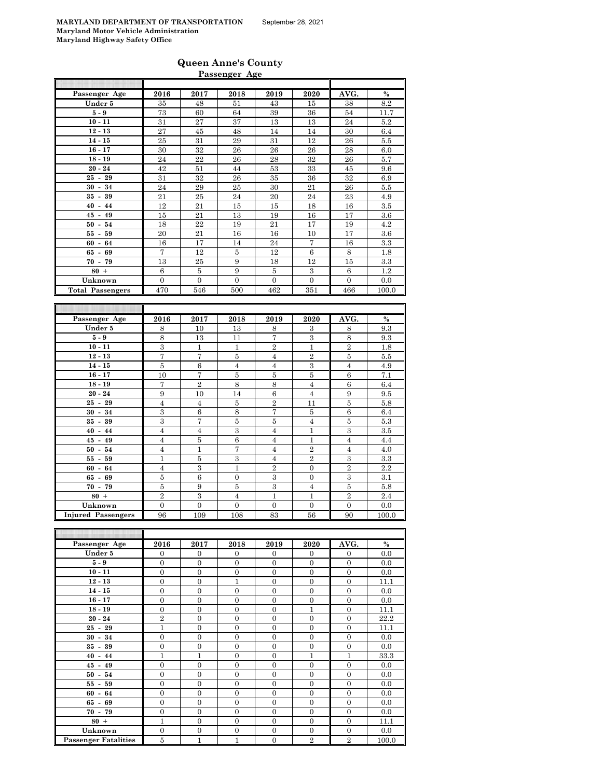# **Queen Anne's County**

|                         |                         |                         | Passenger Age    |                   |                         |                         |               |
|-------------------------|-------------------------|-------------------------|------------------|-------------------|-------------------------|-------------------------|---------------|
|                         |                         |                         |                  |                   |                         |                         |               |
| Passenger Age           | 2016                    | 2017                    | 2018             | 2019              | 2020                    | AVG.                    | $\frac{0}{0}$ |
| Under 5                 | 35                      | 48                      | 51               | 43                | 15                      | 38                      | 8.2           |
| $5-9$                   | 73                      | 60                      | 64               | $39\,$            | 36                      | 54                      | 11.7          |
| $10 - 11$               | 31                      | 27                      | 37               | 13                | 13                      | 24                      | 5.2           |
| $12 - 13$               | 27                      | 45                      | 48               | 14                | 14                      | 30                      | 6.4           |
| $14 - 15$               | 25                      | 31                      | 29               | 31                | 12                      | 26                      | $5.5$         |
| $16 - 17$               | 30                      | 32                      | 26               | 26                | 26                      | 28                      | 6.0           |
| $18 - 19$               | 24                      | 22                      | 26               | 28                | 32                      | 26                      | 5.7           |
| $20 - 24$               | 42                      | 51                      | 44               | $53\,$            | 33                      | 45                      | 9.6           |
| $25 - 29$               | 31                      | 32                      | 26               | 35                | 36                      | 32                      | 6.9           |
| $30 - 34$               | 24                      | 29                      | 25               | 30                | 21                      | 26                      | $5.5$         |
| $35 - 39$               | 21                      | 25                      | 24               | 20                | 24                      | 23                      | 4.9           |
| $40 - 44$               | 12                      | 21                      | 15               | 15                | 18                      | 16                      | 3.5           |
| $45 - 49$               | 15                      | 21                      | 13               | 19                | 16                      | 17                      | 3.6           |
| $50 - 54$               | 18                      | 22                      | 19               | 21                | 17                      | 19                      | $4.2\,$       |
| $55 - 59$               | 20                      | 21                      | 16               | 16                | 10                      | 17                      | 3.6           |
| $60 - 64$               | 16                      | 17                      | 14               | 24                | $\scriptstyle{7}$       | 16                      | 3.3           |
| $65 - 69$               | 7                       | 12                      | $\bf 5$          | 12                | $\,6\,$                 | 8                       | $1.8\,$       |
| $70 - 79$               | 13                      | 25                      | 9                | 18                | 12                      | 15                      | 3.3           |
| $80 +$                  | 6                       | $\overline{5}$          | 9                | $\bf 5$           | 3                       | 6                       | 1.2           |
| Unknown                 | $\overline{0}$          | $\overline{0}$          | $\overline{0}$   | $\overline{0}$    | $\overline{0}$          | $\overline{0}$          | 0.0           |
| <b>Total Passengers</b> | 470                     | 546                     | 500              | 462               | 351                     | 466                     | 100.0         |
|                         |                         |                         |                  |                   |                         |                         |               |
|                         |                         |                         |                  |                   |                         |                         |               |
|                         |                         |                         |                  |                   |                         |                         |               |
| Passenger Age           | 2016                    | 2017                    | 2018             | 2019              | 2020                    | AVG.                    | $\%$          |
| Under 5                 | 8                       | 10                      | 13               | 8                 | 3                       | 8                       | 9.3           |
| $5-9$                   | 8                       | 13                      | 11               | 7                 | 3                       | 8                       | 9.3           |
| $10 - 11$               | $\overline{3}$          | $\mathbf{1}$            | $\mathbf{1}$     | $\overline{2}$    | $\overline{1}$          | $\overline{2}$          | 1.8           |
| $12 - 13$               | $\scriptstyle{7}$       | $\scriptstyle{7}$       | $\bf 5$          | $\overline{4}$    | $\overline{2}$          | 5                       | $5.5\,$       |
| $14 - 15$               | $\overline{\mathbf{5}}$ | $\overline{6}$          | $\overline{4}$   | $\overline{4}$    | $\overline{\mathbf{3}}$ | $\overline{4}$          | 4.9           |
| $16 - 17$               | 10                      | $\overline{7}$          | $\bf 5$          | $\bf 5$           | $\bf 5$                 | 6                       | 7.1           |
| $18 - 19$               | 7                       | $\overline{2}$          | $\,$ 8 $\,$      | 8                 | $\overline{4}$          | 6                       | 6.4           |
| $20 - 24$               | $\boldsymbol{9}$        | 10                      | 14               | $\;6\;$           | $\overline{4}$          | 9                       | $9.5\,$       |
| $25 - 29$               | $\overline{4}$          | $\overline{4}$          | $\bf 5$          | $\overline{2}$    | 11                      | $\overline{\mathbf{5}}$ | 5.8           |
| $30 - 34$               | $\overline{\mathbf{3}}$ | $\,6$                   | $\,8\,$          | $\scriptstyle{7}$ | $\bf 5$                 | $\,6$                   | 6.4           |
| $35 - 39$               | $\overline{3}$          | $\overline{7}$          | $\overline{5}$   | $\overline{5}$    | $\overline{4}$          | $\overline{5}$          | $5.3\,$       |
| $40 - 44$               | $\overline{4}$          | $\overline{4}$          | $\overline{3}$   | $\overline{4}$    | $\mathbf 1$             | $\overline{3}$          | 3.5           |
| $45 - 49$               | $\overline{4}$          | $\bf 5$                 | $\boldsymbol{6}$ | $\overline{4}$    | $\mathbf{1}$            | $\overline{4}$          | 4.4           |
| $50 - 54$               | $\overline{4}$          | $\mathbf{1}$            | 7                | $\overline{4}$    | $\overline{2}$          | $\overline{4}$          | 4.0           |
| $55 - 59$               | $\mathbf{1}$            | $\bf 5$                 | $\,3\,$          | $\overline{4}$    | $\,2$                   | $\,3$                   | 3.3           |
| $60 - 64$               | $\overline{4}$          | $\overline{3}$          | $\mathbf{1}$     | $\overline{2}$    | $\boldsymbol{0}$        | $\overline{2}$          | 2.2           |
| $65 - 69$               | 5                       | $\,6$                   | $\boldsymbol{0}$ | 3                 | $\boldsymbol{0}$        | $\,3$                   | 3.1           |
| $70 - 79$               | $\bf 5$                 | 9                       | $\bf 5$          | 3                 | $\overline{4}$          | $\bf 5$                 | 5.8           |
| $80 +$                  | $\overline{2}$          | $\overline{\mathbf{3}}$ | $\overline{4}$   | $\mathbf{1}$      | $\mathbf{1}$            | $\overline{2}$          | 2.4           |
| Unknown                 | $\Omega$                | $\Omega$                | $\Omega$<br>108  | $\Omega$<br>83    | $\Omega$<br>56          | $\overline{0}$          | 0.0           |

| Passenger Age               | 2016           | 2017           | 2018           | 2019           | 2020           | AVG.           | $\frac{0}{0}$ |
|-----------------------------|----------------|----------------|----------------|----------------|----------------|----------------|---------------|
| Under 5                     | $\mathbf{0}$   | $\overline{0}$ | $\overline{0}$ | $\mathbf{0}$   | $\mathbf{0}$   | $\mathbf{0}$   | 0.0           |
| $5-9$                       | $\overline{0}$ | $\theta$       | $\overline{0}$ | $\mathbf{0}$   | $\Omega$       | $\overline{0}$ | 0.0           |
| $10 - 11$                   | $\overline{0}$ | $\overline{0}$ | $\overline{0}$ | $\overline{0}$ | $\Omega$       | $\overline{0}$ | 0.0           |
| $12 - 13$                   | $\overline{0}$ | $\overline{0}$ | $\mathbf{1}$   | $\mathbf{0}$   | $\overline{0}$ | $\mathbf{0}$   | 11.1          |
| $14 - 15$                   | $\overline{0}$ | $\theta$       | $\overline{0}$ | $\mathbf{0}$   | $\Omega$       | $\overline{0}$ | 0.0           |
| $16 - 17$                   | $\overline{0}$ | $\overline{0}$ | $\mathbf{0}$   | $\mathbf{0}$   | $\mathbf{0}$   | $\mathbf{0}$   | 0.0           |
| $18 - 19$                   | $\overline{0}$ | $\overline{0}$ | $\mathbf{0}$   | $\mathbf{0}$   | $\mathbf{1}$   | $\mathbf{0}$   | 11.1          |
| $20 - 24$                   | $\overline{2}$ | $\overline{0}$ | $\overline{0}$ | $\mathbf{0}$   | $\overline{0}$ | $\mathbf{0}$   | 22.2          |
| $25 - 29$                   | $\mathbf{1}$   | $\theta$       | $\overline{0}$ | $\overline{0}$ | $\Omega$       | $\theta$       | 11.1          |
| $30 - 34$                   | $\Omega$       | $\theta$       | $\Omega$       | $\Omega$       | $\Omega$       | $\theta$       | 0.0           |
| $35 - 39$                   | $\overline{0}$ | $\theta$       | $\Omega$       | $\Omega$       | $\Omega$       | $\overline{0}$ | 0.0           |
| $40 - 44$                   | $\mathbf{1}$   | $\mathbf{1}$   | $\overline{0}$ | $\Omega$       | $\mathbf{1}$   | $\mathbf{1}$   | 33.3          |
| $45 - 49$                   | $\overline{0}$ | $\theta$       | $\overline{0}$ | $\mathbf{0}$   | $\Omega$       | $\mathbf{0}$   | 0.0           |
| $50 - 54$                   | $\Omega$       | $\theta$       | $\overline{0}$ | $\Omega$       | $\Omega$       | $\overline{0}$ | 0.0           |
| $55 - 59$                   | $\overline{0}$ | $\theta$       | $\overline{0}$ | $\mathbf{0}$   | $\Omega$       | $\mathbf{0}$   | 0.0           |
| $60 - 64$                   | $\Omega$       | $\theta$       | $\theta$       | $\Omega$       | $\Omega$       | $\theta$       | 0.0           |
| $65 - 69$                   | $\overline{0}$ | $\overline{0}$ | $\overline{0}$ | $\mathbf{0}$   | $\Omega$       | $\mathbf{0}$   | 0.0           |
| $70 - 79$                   | $\overline{0}$ | $\theta$       | $\overline{0}$ | $\theta$       | $\Omega$       | $\mathbf{0}$   | 0.0           |
| $80 +$                      | 1              | $\Omega$       | $\overline{0}$ | $\mathbf{0}$   | $\Omega$       | $\mathbf{0}$   | 11.1          |
| Unknown                     | $\overline{0}$ | $\overline{0}$ | $\overline{0}$ | $\overline{0}$ | $\Omega$       | $\theta$       | 0.0           |
| <b>Passenger Fatalities</b> | 5              | 1              | $\mathbf{1}$   | $\mathbf{0}$   | $\overline{2}$ | $\overline{2}$ | 100.0         |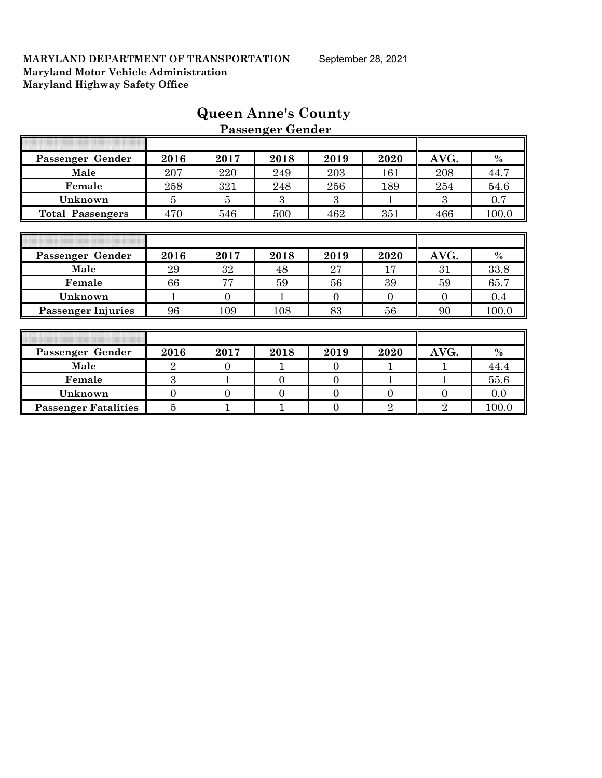|                             |                |                | r assenger achaer |                |                |                |         |
|-----------------------------|----------------|----------------|-------------------|----------------|----------------|----------------|---------|
|                             |                |                |                   |                |                |                |         |
| Passenger Gender            | 2016           | 2017           | 2018              | 2019           | 2020           | AVG.           | $\%$    |
| Male                        | 207            | 220            | 249               | 203            | 161            | 208            | 44.7    |
| Female                      | 258            | 321            | 248               | 256            | 189            | 254            | 54.6    |
| Unknown                     | 5              | $\overline{5}$ | 3                 | 3              |                | 3              | 0.7     |
| <b>Total Passengers</b>     | 470            | 546            | 500               | 462            | 351            | 466            | 100.0   |
|                             |                |                |                   |                |                |                |         |
|                             |                |                |                   |                |                |                |         |
| Passenger Gender            | 2016           | 2017           | 2018              | 2019           | 2020           | AVG.           | $\%$    |
| Male                        | 29             | 32             | 48                | 27             | 17             | 31             | 33.8    |
| Female                      | 66             | 77             | 59                | 56             | 39             | 59             | 65.7    |
| Unknown                     |                | $\mathbf{0}$   | 1                 | $\overline{0}$ | $\overline{0}$ | $\theta$       | $0.4\,$ |
| <b>Passenger Injuries</b>   | 96             | 109            | 108               | 83             | 56             | 90             | 100.0   |
|                             |                |                |                   |                |                |                |         |
|                             |                |                |                   |                |                |                |         |
| Passenger Gender            | 2016           | 2017           | 2018              | 2019           | 2020           | AVG.           | $\%$    |
| Male                        | $\overline{2}$ | $\overline{0}$ |                   | $\overline{0}$ |                |                | 44.4    |
| Female                      | 3              |                | $\overline{0}$    | $\overline{0}$ |                |                | 55.6    |
| Unknown                     | $\overline{0}$ | $\overline{0}$ | $\overline{0}$    | $\overline{0}$ | $\overline{0}$ | $\overline{0}$ | 0.0     |
| <b>Passenger Fatalities</b> | $\overline{5}$ |                |                   | $\overline{0}$ | $\overline{2}$ | $\overline{2}$ | 100.0   |

# **Queen Anne's County Passenger Gender**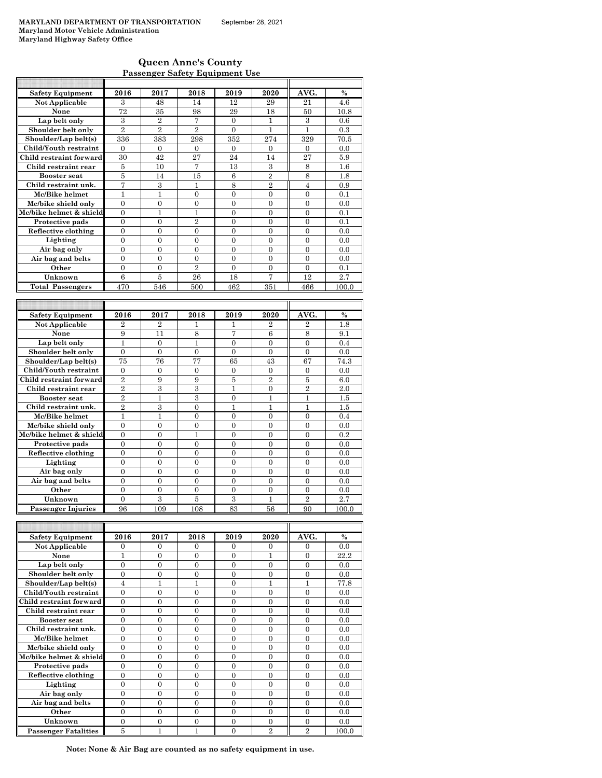### **Queen Anne's County Passenger Safety Equipment Use**

| <b>Safety Equipment</b>              | 2016             | 2017           | 2018             | 2019           | 2020           | AVG.           | $\%$          |
|--------------------------------------|------------------|----------------|------------------|----------------|----------------|----------------|---------------|
| <b>Not Applicable</b>                | 3                | 48             | 14               | 12             | 29             | 21             | 4.6           |
| None                                 | 72               | 35             | 98               | 29             | 18             | 50             | 10.8          |
| Lap belt only                        | 3                | $\overline{2}$ | 7                | $\mathbf{0}$   | 1              | 3              | 0.6           |
| Shoulder belt only                   | $\overline{2}$   | $\overline{2}$ | $\overline{2}$   | $\theta$       | $\mathbf{1}$   | $\mathbf{1}$   | 0.3           |
| Shoulder/Lap belt(s)                 | 336              | 383            | 298              | 352            | 274            | 329            | 70.5          |
| Child/Youth restraint                | $\overline{0}$   | $\mathbf{0}$   | $\mathbf{0}$     | $\Omega$       | $\mathbf{0}$   | $\mathbf{0}$   | 0.0           |
| Child restraint forward              | 30               | 42             | 27               | 24             | 14             | 27             | 5.9           |
| Child restraint rear                 | 5                | 10             | 7                | 13             | 3              | 8              | $1.6\,$       |
| <b>Booster</b> seat                  | 5                | 14             | 15               | 6              | $\overline{2}$ | 8              | 1.8           |
| Child restraint unk.                 | 7                | $\,3$          | $\mathbf{1}$     | 8              | $\overline{2}$ | $\overline{4}$ | 0.9           |
| Mc/Bike helmet                       | 1                | 1              | $\overline{0}$   | $\overline{0}$ | $\overline{0}$ | $\overline{0}$ | 0.1           |
| Mc/bike shield only                  | $\overline{0}$   | $\overline{0}$ | $\overline{0}$   | $\overline{0}$ | $\overline{0}$ | $\overline{0}$ | 0.0           |
| Mc/bike helmet & shield              | 0                | 1              | $\mathbf{1}$     | $\theta$       | $\Omega$       | $\Omega$       | 0.1           |
| Protective pads                      | $\overline{0}$   | $\overline{0}$ | $\overline{2}$   | $\overline{0}$ | $\overline{0}$ | $\overline{0}$ | 0.1           |
| Reflective clothing                  | $\overline{0}$   | $\overline{0}$ | $\overline{0}$   | $\overline{0}$ | $\overline{0}$ | $\overline{0}$ | 0.0           |
| Lighting                             | $\theta$         | $\theta$       | $\theta$         | $\theta$       | $\theta$       | $\Omega$       | 0.0           |
| Air bag only                         | $\overline{0}$   | $\overline{0}$ | $\overline{0}$   | $\overline{0}$ | $\overline{0}$ | $\overline{0}$ | 0.0           |
| Air bag and belts                    | 0                | $\overline{0}$ | $\overline{0}$   | $\overline{0}$ | $\overline{0}$ | $\overline{0}$ | 0.0           |
| Other                                | $\overline{0}$   | $\overline{0}$ | $\overline{2}$   | $\overline{0}$ | $\theta$       | $\theta$       | 0.1           |
| Unknown                              | 6                | $\bf 5$        | 26               | 18             | $\overline{7}$ | 12             | 2.7           |
| <b>Total Passengers</b>              | 470              | 546            | 500              | 462            | 351            | 466            | 100.0         |
|                                      |                  |                |                  |                |                |                |               |
|                                      |                  |                |                  |                |                |                |               |
|                                      |                  |                |                  |                |                |                |               |
| <b>Safety Equipment</b>              | 2016             | 2017           | 2018             | 2019           | 2020           | AVG.           | $\frac{0}{0}$ |
| Not Applicable                       | $\overline{2}$   | $\overline{2}$ | $\mathbf{1}$     | 1              | $\overline{2}$ | $\overline{2}$ | 1.8           |
| None                                 | 9                | 11             | 8                | 7              | 6              | 8              | 9.1           |
| Lap belt only                        | $\mathbf{1}$     | $\overline{0}$ | $\mathbf{1}$     | $\overline{0}$ | $\overline{0}$ | $\overline{0}$ | 0.4           |
| Shoulder belt only                   | $\overline{0}$   | $\overline{0}$ | $\overline{0}$   | $\Omega$       | $\Omega$       | $\overline{0}$ | 0.0           |
| Shoulder/Lap belt(s)                 | 75               | 76             | 77               | 65             | 43             | 67             | 74.3          |
| Child/Youth restraint                | $\overline{0}$   | $\overline{0}$ | $\overline{0}$   | $\mathbf{0}$   | $\mathbf{0}$   | $\overline{0}$ | 0.0           |
| Child restraint forward              | $\overline{2}$   | 9              | 9                | 5              | $\overline{2}$ | 5              | 6.0           |
| Child restraint rear                 | $\overline{2}$   | 3              | 3                | $\mathbf{1}$   | $\mathbf{0}$   | $\overline{2}$ | 2.0           |
| <b>Booster</b> seat                  | $\overline{2}$   | 1              | 3                | $\theta$       | 1              | 1              | 1.5           |
| Child restraint unk.                 | $\overline{2}$   | 3              | $\overline{0}$   | $\mathbf{1}$   | $\mathbf{1}$   | $\overline{1}$ | 1.5           |
| Mc/Bike helmet                       | 1                | $\mathbf{1}$   | $\boldsymbol{0}$ | $\mathbf{0}$   | $\mathbf{0}$   | $\mathbf{0}$   | 0.4           |
| Mc/bike shield only                  | $\theta$         | $\theta$       | $\theta$         | $\theta$       | $\theta$       | $\theta$       | 0.0           |
| Mc/bike helmet & shield              | $\boldsymbol{0}$ | $\mathbf{0}$   | $\overline{1}$   | $\overline{0}$ | $\mathbf{0}$   | $\overline{0}$ | 0.2           |
| Protective pads                      | 0                | $\overline{0}$ | $\overline{0}$   | $\overline{0}$ | $\overline{0}$ | $\overline{0}$ | 0.0           |
| Reflective clothing                  | $\overline{0}$   | $\overline{0}$ | $\overline{0}$   | $\overline{0}$ | $\overline{0}$ | $\overline{0}$ | 0.0           |
| Lighting                             | $\overline{0}$   | $\overline{0}$ | $\overline{0}$   | $\overline{0}$ | $\overline{0}$ | $\overline{0}$ | 0.0           |
| Air bag only                         | $\overline{0}$   | $\overline{0}$ | $\overline{0}$   | $\theta$       | $\theta$       | $\theta$       | 0.0           |
| Air bag and belts                    | 0                | $\overline{0}$ | $\overline{0}$   | $\overline{0}$ | $\overline{0}$ | $\overline{0}$ | 0.0           |
| Other                                | $\overline{0}$   | $\theta$       | $\theta$         | $\theta$       | $\theta$       | $\theta$       | 0.0           |
| Unknown<br><b>Passenger Injuries</b> | $\overline{0}$   | $\overline{3}$ | $\overline{5}$   | $\overline{3}$ | $\mathbf{1}$   | $\overline{2}$ | 2.7           |

| <b>Safety Equipment</b>     | 2016     | 2017     | 2018     | 2019     | 2020           | AVG.           | $\frac{0}{0}$ |
|-----------------------------|----------|----------|----------|----------|----------------|----------------|---------------|
| Not Applicable              | $\Omega$ | $\Omega$ | $\Omega$ | $\Omega$ | $\Omega$       | $\Omega$       | 0.0           |
| None                        |          | $\Omega$ | $\Omega$ | $\Omega$ |                | $\Omega$       | 22.2          |
| Lap belt only               | $\theta$ | 0        | 0        | 0        | $\theta$       | $\theta$       | 0.0           |
| Shoulder belt only          | $\Omega$ | $\Omega$ | 0        | $\Omega$ | $\Omega$       | $\theta$       | 0.0           |
| Shoulder/Lap belt(s)        | 4        | 1        |          | $\theta$ |                |                | 77.8          |
| Child/Youth restraint       | $\Omega$ | $\Omega$ | $\Omega$ | $\Omega$ | $\theta$       | $\Omega$       | 0.0           |
| Child restraint forward     | $\theta$ | 0        | 0        | 0        | $\Omega$       | $\Omega$       | 0.0           |
| Child restraint rear        | $\theta$ | $\Omega$ | 0        | $\Omega$ | $\theta$       | $\Omega$       | 0.0           |
| <b>Booster seat</b>         | $\theta$ | $\Omega$ | $\theta$ | $\theta$ | $\theta$       | $\Omega$       | 0.0           |
| Child restraint unk.        | $\Omega$ | $\Omega$ | $\Omega$ | $\Omega$ | $\Omega$       | $\Omega$       | 0.0           |
| Mc/Bike helmet              | $\Omega$ | $\Omega$ | $\Omega$ | $\Omega$ | $\Omega$       | $\Omega$       | 0.0           |
| Mc/bike shield only         | $\theta$ | $\Omega$ | $\Omega$ | 0        | $\Omega$       | $\Omega$       | 0.0           |
| Mc/bike helmet & shield     | $\theta$ | $\Omega$ | 0        | $\Omega$ | $\theta$       | $\Omega$       | 0.0           |
| Protective pads             | $\Omega$ | $\Omega$ | $\Omega$ | $\Omega$ | $\theta$       | $\Omega$       | 0.0           |
| Reflective clothing         | $\theta$ | $\Omega$ | $\Omega$ | $\Omega$ | $\Omega$       | $\Omega$       | 0.0           |
| Lighting                    | $\theta$ | $\Omega$ | $\Omega$ | 0        | $\Omega$       | $\Omega$       | 0.0           |
| Air bag only                | $\theta$ | $\Omega$ | 0        | $\Omega$ | $\theta$       | $\Omega$       | 0.0           |
| Air bag and belts           | $\theta$ | $\Omega$ | $\Omega$ | $\Omega$ | $\Omega$       | $\Omega$       | 0.0           |
| Other                       | $\theta$ | $\Omega$ | $\Omega$ | $\Omega$ | $\theta$       | $\Omega$       | 0.0           |
| Unknown                     | $\theta$ | $\Omega$ | 0        | 0        | $\theta$       | $\theta$       | 0.0           |
| <b>Passenger Fatalities</b> | 5        |          |          | 0        | $\overline{2}$ | $\overline{2}$ | 100.0         |

**Note: None & Air Bag are counted as no safety equipment in use.**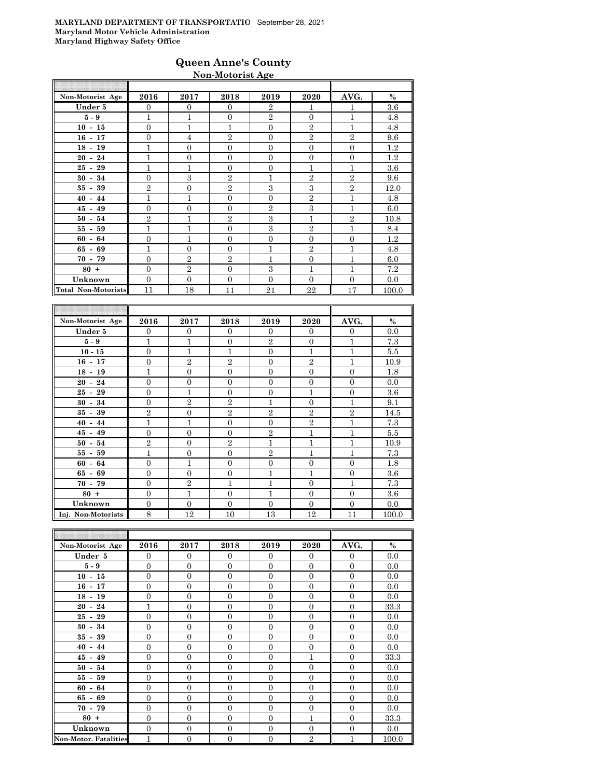### **Queen Anne's County Non-Motorist Age**

| Non-Motorist Age    | 2016           | 2017           | 2018           | 2019           | 2020           | AVG.           | $\%$  |
|---------------------|----------------|----------------|----------------|----------------|----------------|----------------|-------|
| Under 5             | $\overline{0}$ | $\overline{0}$ | $\Omega$       | $\overline{2}$ | 1              | 1              | 3.6   |
| $5-9$               | $\mathbf{1}$   | $\mathbf{1}$   | $\Omega$       | $\overline{2}$ | $\overline{0}$ | $\mathbf{1}$   | 4.8   |
| $10 - 15$           | $\overline{0}$ | $\mathbf{1}$   | 1              | $\mathbf{0}$   | $\overline{2}$ | 1              | 4.8   |
| $16 - 17$           | $\overline{0}$ | $\overline{4}$ | $\overline{2}$ | $\Omega$       | $\overline{2}$ | $\overline{2}$ | 9.6   |
| $18 - 19$           | 1              | $\overline{0}$ | $\Omega$       | $\Omega$       | $\overline{0}$ | $\Omega$       | 1.2   |
| $20 - 24$           | 1              | $\overline{0}$ | $\Omega$       | $\Omega$       | $\overline{0}$ | $\overline{0}$ | 1.2   |
| $25 - 29$           | 1              | $\mathbf{1}$   | $\Omega$       | $\overline{0}$ | $\overline{1}$ | 1              | 3.6   |
| $30 - 34$           | $\theta$       | 3              | $\mathbf{2}$   | $\mathbf{1}$   | $\overline{2}$ | $\mathbf{2}$   | 9.6   |
| $35 - 39$           | $\overline{2}$ | $\overline{0}$ | $\overline{2}$ | 3              | 3              | $\overline{2}$ | 12.0  |
| $40 - 44$           | 1              | 1              | $\overline{0}$ | $\overline{0}$ | $\overline{2}$ | $\mathbf{1}$   | 4.8   |
| $45 - 49$           | $\overline{0}$ | $\overline{0}$ | $\Omega$       | $\overline{2}$ | 3              | 1              | 6.0   |
| $50 - 54$           | $\overline{2}$ | $\overline{1}$ | $\mathbf{2}$   | 3              | $\overline{1}$ | $\overline{2}$ | 10.8  |
| $55 - 59$           | $\mathbf{1}$   | $\mathbf{1}$   | $\overline{0}$ | 3              | $\overline{2}$ | 1              | 8.4   |
| $60 - 64$           | $\overline{0}$ | $\overline{1}$ | $\overline{0}$ | $\overline{0}$ | $\overline{0}$ | $\overline{0}$ | 1.2   |
| $65 - 69$           | 1              | $\overline{0}$ | $\Omega$       | 1              | $\overline{2}$ | 1              | 4.8   |
| $70 - 79$           | $\Omega$       | $\overline{2}$ | $\overline{2}$ | 1              | $\overline{0}$ | 1              | 6.0   |
| $80 +$              | $\overline{0}$ | $\overline{2}$ | $\Omega$       | 3              | $\overline{1}$ | 1              | 7.2   |
| Unknown             | $\Omega$       | $\Omega$       | $\Omega$       | $\Omega$       | $\Omega$       | $\Omega$       | 0.0   |
| Total Non-Motorists | 11             | 18             | 11             | 21             | 22             | 17             | 100.0 |
|                     |                |                |                |                |                |                |       |

| Non-Motorist Age   | 2016           | 2017           | 2018           | 2019           | 2020           | AVG.           | $\%$    |
|--------------------|----------------|----------------|----------------|----------------|----------------|----------------|---------|
| Under 5            | $\Omega$       | $\overline{0}$ | $\Omega$       | $\Omega$       | $\mathbf{0}$   | $\overline{0}$ | 0.0     |
| $5 - 9$            | 1              | $\mathbf{1}$   | $\Omega$       | $\overline{2}$ | $\overline{0}$ | $\overline{1}$ | 7.3     |
| $10 - 15$          | $\mathbf{0}$   | $\mathbf{1}$   | $\mathbf{1}$   | $\Omega$       | 1              | $\overline{1}$ | 5.5     |
| $16 - 17$          | $\overline{0}$ | $\overline{2}$ | $\mathbf{2}$   | $\Omega$       | $\mathbf{2}$   | $\overline{1}$ | 10.9    |
| $18 - 19$          | 1              | $\overline{0}$ | $\Omega$       | $\Omega$       | $\overline{0}$ | $\overline{0}$ | 1.8     |
| $20 - 24$          | $\Omega$       | $\overline{0}$ | $\Omega$       | $\Omega$       | $\overline{0}$ | $\mathbf{0}$   | 0.0     |
| $25 - 29$          | $\mathbf{0}$   | $\mathbf{1}$   | $\Omega$       | $\overline{0}$ | $\mathbf{1}$   | $\mathbf{0}$   | 3.6     |
| $30 - 34$          | $\overline{0}$ | $\overline{2}$ | $\mathbf{2}$   | 1              | $\overline{0}$ | 1              | 9.1     |
| $35 - 39$          | $\overline{2}$ | $\Omega$       | $\overline{2}$ | $\overline{2}$ | $\overline{2}$ | $\overline{2}$ | 14.5    |
| $40 - 44$          | $\mathbf{1}$   | $\mathbf{1}$   | $\Omega$       | $\Omega$       | $\mathbf{2}$   | $\mathbf{1}$   | 7.3     |
| $45 - 49$          | $\mathbf{0}$   | $\overline{0}$ | $\mathbf{0}$   | $\mathbf{2}$   | $\mathbf{1}$   | $\mathbf{1}$   | 5.5     |
| $50 - 54$          | $\overline{2}$ | $\overline{0}$ | $\overline{2}$ | $\mathbf{1}$   | $\mathbf{1}$   | $\mathbf{1}$   | 10.9    |
| $55 - 59$          | $\mathbf{1}$   | $\overline{0}$ | $\mathbf{0}$   | $\overline{2}$ | $\mathbf{1}$   | 1              | 7.3     |
| $60 - 64$          | $\overline{0}$ | $\mathbf{1}$   | $\theta$       | $\overline{0}$ | $\overline{0}$ | $\overline{0}$ | 1.8     |
| $65 - 69$          | $\Omega$       | $\Omega$       | $\Omega$       | 1              | 1              | $\mathbf{0}$   | 3.6     |
| $70 - 79$          | $\Omega$       | $\overline{2}$ | 1              | 1              | $\Omega$       | $\overline{1}$ | 7.3     |
| $80 +$             | $\overline{0}$ | $\overline{1}$ | $\theta$       | 1              | $\overline{0}$ | $\overline{0}$ | $3.6\,$ |
| Unknown            | $\overline{0}$ | $\Omega$       | $\theta$       | $\Omega$       | $\overline{0}$ | $\mathbf{0}$   | 0.0     |
| Inj. Non-Motorists | 8              | 12             | 10             | 13             | 12             | 11             | 100.0   |

| Non-Motorist Age             | 2016           | 2017           | 2018           | 2019           | 2020           | AVG.           | $\%$  |
|------------------------------|----------------|----------------|----------------|----------------|----------------|----------------|-------|
| Under 5                      | $\overline{0}$ | $\mathbf{0}$   | $\overline{0}$ | $\mathbf{0}$   | $\overline{0}$ | $\mathbf{0}$   | 0.0   |
| $5 - 9$                      | $\overline{0}$ | $\mathbf{0}$   | $\Omega$       | $\Omega$       | $\mathbf{0}$   | $\Omega$       | 0.0   |
| $10 - 15$                    | $\overline{0}$ | $\overline{0}$ | $\overline{0}$ | $\overline{0}$ | $\mathbf{0}$   | $\overline{0}$ | 0.0   |
| $16 - 17$                    | $\overline{0}$ | $\mathbf{0}$   | $\Omega$       | $\Omega$       | $\mathbf{0}$   | $\Omega$       | 0.0   |
| $18 - 19$                    | $\overline{0}$ | $\overline{0}$ | $\Omega$       | $\Omega$       | $\overline{0}$ | $\Omega$       | 0.0   |
| $20 - 24$                    | 1              | $\overline{0}$ | $\overline{0}$ | $\Omega$       | $\overline{0}$ | $\overline{0}$ | 33.3  |
| $25 - 29$                    | $\overline{0}$ | $\overline{0}$ | $\Omega$       | $\Omega$       | $\mathbf{0}$   | $\Omega$       | 0.0   |
| $30 - 34$                    | $\overline{0}$ | $\overline{0}$ | $\overline{0}$ | $\overline{0}$ | $\mathbf{0}$   | $\mathbf{0}$   | 0.0   |
| $35 - 39$                    | $\overline{0}$ | $\mathbf{0}$   | $\overline{0}$ | $\overline{0}$ | $\mathbf{0}$   | $\mathbf{0}$   | 0.0   |
| $40 - 44$                    | $\overline{0}$ | $\overline{0}$ | $\overline{0}$ | $\Omega$       | $\overline{0}$ | $\mathbf{0}$   | 0.0   |
| $45 - 49$                    | $\overline{0}$ | $\overline{0}$ | $\Omega$       | $\Omega$       | $\overline{1}$ | $\Omega$       | 33.3  |
| $50 - 54$                    | $\overline{0}$ | $\overline{0}$ | $\Omega$       | $\Omega$       | $\overline{0}$ | $\Omega$       | 0.0   |
| $55 - 59$                    | $\overline{0}$ | $\overline{0}$ | $\Omega$       | $\Omega$       | $\overline{0}$ | $\overline{0}$ | 0.0   |
| $60 - 64$                    | $\overline{0}$ | $\mathbf{0}$   | $\overline{0}$ | $\overline{0}$ | $\mathbf{0}$   | $\mathbf{0}$   | 0.0   |
| $65 - 69$                    | $\overline{0}$ | $\overline{0}$ | $\overline{0}$ | $\overline{0}$ | $\overline{0}$ | $\overline{0}$ | 0.0   |
| $70 - 79$                    | $\overline{0}$ | $\overline{0}$ | $\overline{0}$ | $\overline{0}$ | $\mathbf{0}$   | $\mathbf{0}$   | 0.0   |
| $80 +$                       | $\overline{0}$ | $\overline{0}$ | $\overline{0}$ | $\overline{0}$ | $\overline{1}$ | $\overline{0}$ | 33.3  |
| Unknown                      | $\overline{0}$ | $\overline{0}$ | $\Omega$       | $\Omega$       | $\overline{0}$ | $\overline{0}$ | 0.0   |
| <b>Non-Motor, Fatalities</b> | $\mathbf{1}$   | $\overline{0}$ | $\overline{0}$ | $\overline{0}$ | $\overline{2}$ | 1              | 100.0 |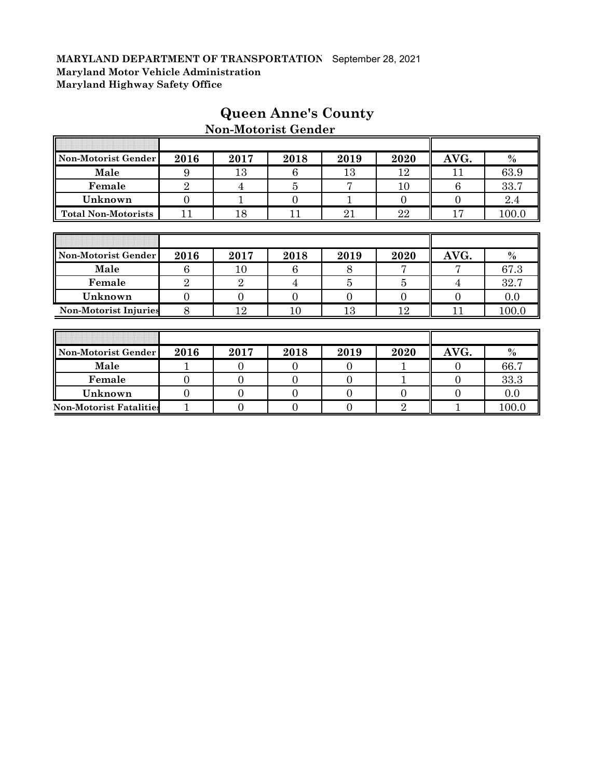| Non-Motorist Gender            | 2016           | 2017           | 2018           | 2019           | 2020           | AVG.           | $\frac{0}{0}$ |
|--------------------------------|----------------|----------------|----------------|----------------|----------------|----------------|---------------|
| Male                           | 9              | 13             | 6              | 13             | 12             | 11             | 63.9          |
| Female                         | $\overline{2}$ | 4              | 5              | 7              | 10             | 6              | 33.7          |
| Unknown                        | $\overline{0}$ | $\mathbf 1$    | $\overline{0}$ |                | $\overline{0}$ | $\overline{0}$ | 2.4           |
| <b>Total Non-Motorists</b>     | 11             | 18             | 11             | 21             | 22             | 17             | 100.0         |
|                                |                |                |                |                |                |                |               |
|                                |                |                |                |                |                |                |               |
| Non-Motorist Gender            | 2016           | 2017           | 2018           | 2019           | 2020           | AVG.           | $\frac{0}{0}$ |
| Male                           | 6              | 10             | 6              | 8              |                |                | 67.3          |
| Female                         | $\overline{2}$ | $\overline{2}$ | 4              | 5              | $\overline{5}$ | 4              | 32.7          |
| Unknown                        | $\overline{0}$ | $\Omega$       | $\overline{0}$ | $\overline{0}$ | $\overline{0}$ | $\overline{0}$ | 0.0           |
| <b>Non-Motorist Injuries</b>   | 8              | 12             | 10             | 13             | 12             | 11             | 100.0         |
|                                |                |                |                |                |                |                |               |
|                                |                |                |                |                |                |                |               |
| Non-Motorist Gender            | 2016           | 2017           | 2018           | 2019           | 2020           | AVG.           | $\%$          |
| Male                           | 1              | $\theta$       | $\Omega$       | $\Omega$       |                | $\Omega$       | 66.7          |
| Female                         | $\overline{0}$ | $\overline{0}$ | $\overline{0}$ | $\overline{0}$ |                | $\overline{0}$ | 33.3          |
| Unknown                        | $\overline{0}$ | $\Omega$       | $\Omega$       | $\Omega$       | $\overline{0}$ | $\overline{0}$ | 0.0           |
| <b>Non-Motorist Fatalities</b> | 1              | $\overline{0}$ | $\overline{0}$ | $\overline{0}$ | $\overline{2}$ |                | 100.0         |

# **Queen Anne's County Non-Motorist Gender**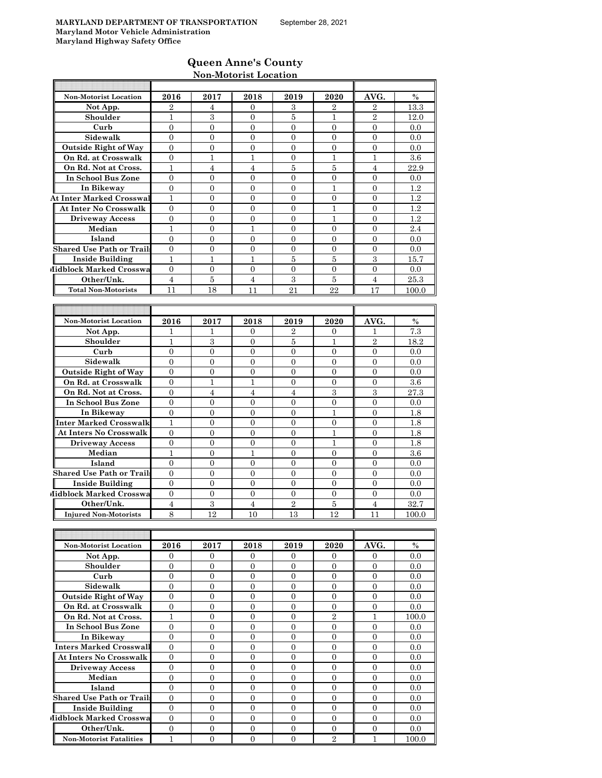### **Queen Anne's County Non-Motorist Location**

|                                  |                  |                                    | 11011-1110t0113t Llocation |                  |                                    |                  |         |
|----------------------------------|------------------|------------------------------------|----------------------------|------------------|------------------------------------|------------------|---------|
| <b>Non-Motorist Location</b>     | 2016             | 2017                               | 2018                       | 2019             | 2020                               | AVG.             | $\%$    |
| Not App.                         | 2                | 4                                  | 0                          | 3                | 2                                  | 2                | 13.3    |
| Shoulder                         | 1                | 3                                  | $\theta$                   | 5                | 1                                  | $\overline{2}$   | 12.0    |
| Curb                             | $\boldsymbol{0}$ | $\overline{0}$                     | $\overline{0}$             | $\overline{0}$   | $\overline{0}$                     | $\overline{0}$   | 0.0     |
| Sidewalk                         | $\overline{0}$   | $\mathbf{0}$                       | 0                          | $\mathbf{0}$     | $\mathbf{0}$                       | $\mathbf{0}$     | 0.0     |
| <b>Outside Right of Way</b>      | $\overline{0}$   | $\overline{0}$                     | $\overline{0}$             | $\mathbf{0}$     | $\overline{0}$                     | $\overline{0}$   | 0.0     |
| On Rd. at Crosswalk              | $\mathbf{0}$     | $\mathbf{1}$                       | $\mathbf{1}$               | $\mathbf{0}$     | $\mathbf{1}$                       | $\mathbf{1}$     | 3.6     |
| On Rd. Not at Cross.             | $\mathbf{1}$     | $\overline{4}$                     | $\overline{4}$             | 5                | 5                                  | $\overline{4}$   | 22.9    |
| In School Bus Zone               | 0                | 0                                  | 0                          | $\mathbf{0}$     | 0                                  | 0                | 0.0     |
| In Bikeway                       | $\mathbf{0}$     | $\overline{0}$                     | $\overline{0}$             | $\overline{0}$   | 1                                  | $\overline{0}$   | $1.2\,$ |
| <b>At Inter Marked Crosswal</b>  | $\mathbf{1}$     | $\overline{0}$                     | $\overline{0}$             | $\overline{0}$   | $\Omega$                           | $\Omega$         | 1.2     |
| <b>At Inter No Crosswalk</b>     | $\mathbf{0}$     | $\overline{0}$                     | $\overline{0}$             | $\overline{0}$   | 1                                  | $\Omega$         | 1.2     |
| <b>Driveway Access</b>           | $\mathbf{0}$     | $\overline{0}$                     | $\overline{0}$             | $\mathbf{0}$     | 1                                  | $\overline{0}$   | 1.2     |
| Median                           | $\mathbf{1}$     | $\mathbf{0}$                       | $\mathbf{1}$               | $\overline{0}$   | $\mathbf{0}$                       | $\theta$         | 2.4     |
| Island                           | $\mathbf{0}$     | $\overline{0}$                     | $\overline{0}$             | $\mathbf{0}$     | $\overline{0}$                     | $\theta$         | 0.0     |
| <b>Shared Use Path or Trails</b> | $\mathbf{0}$     | $\overline{0}$                     | 0                          | $\mathbf{0}$     | $\mathbf{0}$                       | $\theta$         | 0.0     |
| <b>Inside Building</b>           | 1                | 1                                  | 1                          | 5                | 5                                  | 3                | 15.7    |
| Midblock Marked Crosswa          | $\overline{0}$   | $\mathbf{0}$                       | $\overline{0}$             | $\mathbf{0}$     | $\overline{0}$                     | $\overline{0}$   | 0.0     |
| Other/Unk.                       | $\overline{4}$   | $\bf 5$                            | $\overline{4}$             | 3                | $\bf 5$                            | $\overline{4}$   | 25.3    |
| <b>Total Non-Motorists</b>       | 11               | 18                                 | 11                         | 21               | 22                                 | 17               | 100.0   |
|                                  |                  |                                    |                            |                  |                                    |                  |         |
|                                  |                  |                                    |                            |                  |                                    |                  |         |
| <b>Non-Motorist Location</b>     | 2016             | 2017                               | 2018                       | 2019             | 2020                               | AVG.             | $\%$    |
| Not App.                         | 1                | 1                                  | 0                          | $\overline{2}$   | 0                                  | 1                | 7.3     |
| Shoulder                         | 1                | 3                                  | 0                          | 5                | 1                                  | $\overline{2}$   | 18.2    |
| Curb                             | $\theta$         | $\mathbf{0}$                       | $\overline{0}$             | $\mathbf{0}$     | $\overline{0}$                     | $\overline{0}$   | 0.0     |
| Sidewalk                         | $\mathbf{0}$     | $\overline{0}$                     | $\overline{0}$             | $\mathbf{0}$     | $\overline{0}$                     | $\overline{0}$   | 0.0     |
| <b>Outside Right of Way</b>      | $\mathbf{0}$     | $\overline{0}$                     | $\overline{0}$             | $\overline{0}$   | $\overline{0}$                     | $\overline{0}$   | 0.0     |
| On Rd. at Crosswalk              | $\overline{0}$   | $\mathbf{1}$                       | 1                          | $\overline{0}$   | $\mathbf{0}$                       | $\overline{0}$   | 3.6     |
| On Rd. Not at Cross.             | $\mathbf{0}$     | $\overline{4}$                     | $\overline{4}$             | $\overline{4}$   | 3                                  | 3                | 27.3    |
| In School Bus Zone               | $\mathbf{0}$     | 0                                  | 0                          | $\mathbf{0}$     | $\mathbf{0}$                       | $\theta$         | 0.0     |
| In Bikeway                       | $\overline{0}$   | $\overline{0}$                     | $\overline{0}$             | $\mathbf{0}$     | 1                                  | $\overline{0}$   | 1.8     |
| Inter Marked Crosswalk           | $\mathbf{1}$     | $\overline{0}$                     | $\overline{0}$             | $\overline{0}$   | $\overline{0}$                     | $\overline{0}$   | 1.8     |
| <b>At Inters No Crosswalk</b>    | $\mathbf{0}$     | $\overline{0}$                     | $\overline{0}$             | $\mathbf{0}$     | $\mathbf{1}$                       | $\overline{0}$   | 1.8     |
| <b>Driveway Access</b>           | $\mathbf{0}$     | $\overline{0}$                     | $\overline{0}$             | $\mathbf{0}$     | 1                                  | $\overline{0}$   | 1.8     |
| Median                           | $\mathbf{1}$     | $\Omega$                           | 1                          | $\overline{0}$   | $\Omega$                           | $\Omega$         | 3.6     |
| Island                           | $\mathbf{0}$     | $\overline{0}$                     | $\overline{0}$             | $\mathbf{0}$     | $\overline{0}$                     | $\overline{0}$   | 0.0     |
| <b>Shared Use Path or Trails</b> | $\overline{0}$   | $\mathbf{0}$                       | 0                          | $\mathbf{0}$     | $\mathbf{0}$                       | $\theta$         | 0.0     |
| <b>Inside Building</b>           | $\mathbf{0}$     | $\overline{0}$                     | $\overline{0}$             | $\mathbf{0}$     | $\overline{0}$                     | $\overline{0}$   | 0.0     |
| Midblock Marked Crosswa          | $\mathbf{0}$     | $\overline{0}$                     | $\boldsymbol{0}$           | $\boldsymbol{0}$ | $\boldsymbol{0}$                   | $\theta$         | 0.0     |
| Other/Unk.                       | $\overline{4}$   | $\,3$                              | $\overline{4}$             | $\sqrt{2}$       | $\bf 5$                            | $\overline{4}$   | 32.7    |
| <b>Injured Non-Motorists</b>     | 8                | 12                                 | 10                         | 13               | <u>12</u>                          | 11               | 100.0   |
|                                  |                  |                                    |                            |                  |                                    |                  |         |
|                                  |                  |                                    |                            |                  |                                    |                  |         |
| Non-Motorist Location            | 2016             | 2017                               | 2018                       | 2019             | 2020                               | AVG.             | $\%$    |
| Not App.                         | $\mathbf{0}$     | 0                                  | 0                          | 0                | $\mathbf{0}$                       | 0                | 0.0     |
| Shoulder                         | $\overline{0}$   | $\overline{0}$                     | 0                          | $\overline{0}$   | $\overline{0}$                     | $\overline{0}$   | 0.0     |
| Curb                             | $\mathbf{0}$     | $\mathbf{0}$                       | $\boldsymbol{0}$           | $\overline{0}$   | $\mathbf{0}$                       | $\mathbf{0}$     | 0.0     |
| Sidewalk                         | $\mathbf{0}$     | $\overline{0}$                     | $\boldsymbol{0}$           | $\mathbf{0}$     | $\overline{0}$                     | $\mathbf{0}$     | 0.0     |
| <b>Outside Right of Way</b>      | $\overline{0}$   | 0                                  | 0                          | 0                | 0                                  | $\mathbf{0}$     | 0.0     |
| On Rd. at Crosswalk              | 0                | $\boldsymbol{0}$<br>$\overline{0}$ | $\boldsymbol{0}$           | $\mathbf{0}$     | $\boldsymbol{0}$<br>$\overline{2}$ | $\boldsymbol{0}$ | 0.0     |
| On Rd. Not at Cross.             | $\mathbf{1}$     |                                    | $\boldsymbol{0}$           | $\overline{0}$   |                                    | $\mathbf{1}$     | 100.0   |
| In School Bus Zone               | $\overline{0}$   | $\overline{0}$                     | 0                          | $\mathbf{0}$     | 0                                  | 0                | $0.0\,$ |
| In Bikeway                       | 0                | 0                                  | 0                          | $\mathbf{0}$     | $\overline{0}$                     | $\boldsymbol{0}$ | 0.0     |

**In Bikeway** 0 0 0 0 0 0 0 0 0  **Inters Marked Crosswalk** 0 0 0 0 0 0 0.0 **At Inters No Crosswalk** 0 0 0 0 0 0 0.0 **Driveway Access** 0 0 0 0 0 0 0.0 **Median | 0 | 0 | 0 | 0 | 0 | 0 | 0.0 Island** 0 0 0 0 0 0 0.0

**Shared Use Path or Trails** 0 0 0 0 0 0 0.0 **Inside Building** 0 0 0 0 0 0 0.0 **Midblock Marked Crosswa** 0 0 0 0 0 0 0 0 0.0 **Other/Unk.** 0 0 0 0 0 0 0.0 **Non-Motorist Fatalities** 1 0 0 0 0 2 1 1 100.0